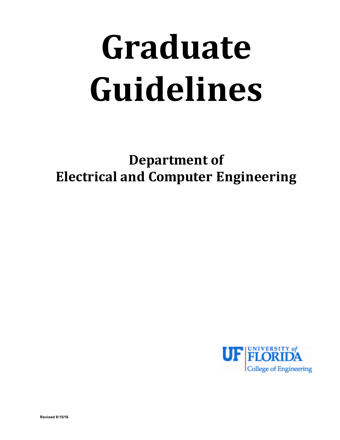# **Graduate Guidelines**

**Department of Electrical and Computer Engineering**

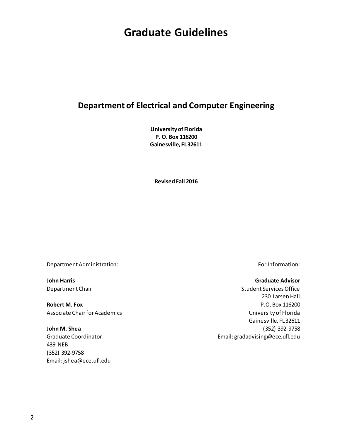# **Graduate Guidelines**

# **Department of Electrical and Computer Engineering**

**University of Florida P. O. Box 116200 Gainesville, FL 32611**

**Revised Fall 2016**

Department Administration: example and the part of the part of the For Information:

Associate Chair for Academics **National State Chairs and Academics** University of Florida

439 NEB (352) 392-9758 Email: jshea@ece.ufl.edu

#### **John Harris Graduate Advisor**

Department Chair Student Services Office 230 Larsen Hall **Robert M. Fox P.O. Box 116200** Gainesville, FL 32611 **John M. Shea** (352) 392-9758 Graduate Coordinator **Email:** gradadvising@ece.ufl.edu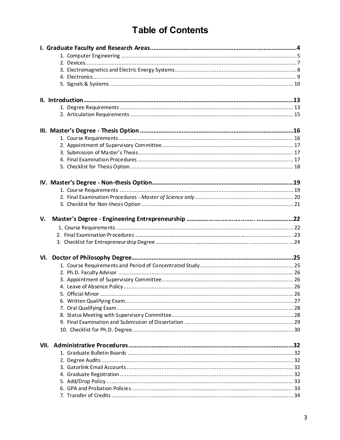# **Table of Contents**

| V. |  |
|----|--|
|    |  |
|    |  |
|    |  |
|    |  |
|    |  |
|    |  |
|    |  |
|    |  |
|    |  |
|    |  |
|    |  |
|    |  |
|    |  |
|    |  |
|    |  |
|    |  |
|    |  |
|    |  |
|    |  |
|    |  |
|    |  |
|    |  |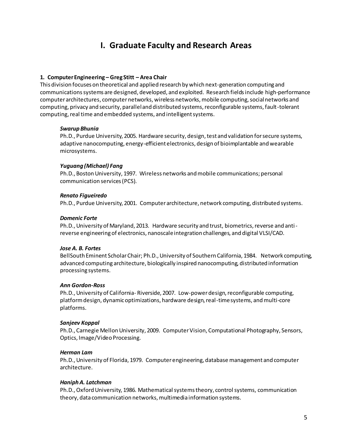# **I. Graduate Faculty and Research Areas**

#### **1. Computer Engineering – Greg Stitt – Area Chair**

This division focuses on theoretical and applied research by which next-generation computing and communications systems are designed, developed, and exploited. Research fields include high-performance computer architectures, computernetworks, wireless networks, mobile computing, social networks and computing, privacy and security, parallel and distributed systems, reconfigurable systems, fault-tolerant computing, real time and embedded systems, and intelligent systems.

#### *Swarup Bhunia*

Ph.D., Purdue University, 2005. Hardware security, design, test and validation for secure systems, adaptive nanocomputing, energy-efficient electronics, design of bioimplantable and wearable microsystems.

#### *Yuguang (Michael) Fang*

Ph.D., Boston University, 1997. Wireless networks and mobile communications; personal communication services (PCS).

#### *Renato Figueiredo*

Ph.D., Purdue University, 2001. Computer architecture, network computing, distributed systems.

#### *Domenic Forte*

Ph.D., University of Maryland, 2013. Hardware security and trust, biometrics, reverse and antireverse engineering of electronics, nanoscale integration challenges, and digital VLSI/CAD.

#### *Jose A. B. Fortes*

BellSouth Eminent Scholar Chair; Ph.D., University of Southern California, 1984. Network computing, advanced computing architecture, biologically inspired nanocomputing, distributed information processing systems.

#### *Ann Gordon-Ross*

Ph.D., University of California- Riverside, 2007. Low-power design, reconfigurable computing, platform design, dynamic optimizations, hardware design, real-time systems, and multi-core platforms.

#### *Sanjeev Koppal*

Ph.D., Carnegie Mellon University, 2009. Computer Vision, Computational Photography, Sensors, Optics, Image/Video Processing.

#### *Herman Lam*

Ph.D., University of Florida, 1979. Computer engineering, database management and computer architecture.

#### *Haniph A. Latchman*

Ph.D., Oxford University, 1986. Mathematical systems theory, control systems, communication theory, data communication networks, multimedia information systems.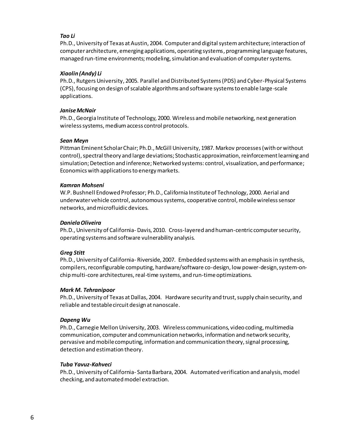#### *Tao Li*

Ph.D., University of Texas at Austin, 2004. Computer and digital system architecture; interaction of computer architecture, emerging applications, operating systems, programming language features, managed run-time environments; modeling, simulation and evaluation of computer systems.

#### *Xiaolin (Andy) Li*

Ph.D., Rutgers University, 2005. Parallel and Distributed Systems (PDS) and Cyber-Physical Systems (CPS), focusing on design of scalable algorithms and software systems to enable large-scale applications.

#### *Janise McNair*

Ph.D., Georgia Institute of Technology, 2000. Wireless and mobile networking, next generation wireless systems, medium access control protocols.

#### *Sean Meyn*

Pittman Eminent Scholar Chair; Ph.D., McGill University, 1987. Markov processes (with or without control), spectral theory and large deviations; Stochastic approximation, reinforcement learning and simulation; Detection and inference; Networked systems: control, visualization, and performance; Economics with applications to energy markets.

#### *Kamran Mohseni*

W.P. Bushnell Endowed Professor; Ph.D., California Institute of Technology, 2000. Aerial and underwater vehicle control, autonomous systems, cooperative control, mobile wireless sensor networks, and microfluidic devices.

#### *Daniela Oliveira*

Ph.D., University of California- Davis, 2010. Cross-layered and human-centric computer security, operating systems and software vulnerability analysis.

#### *Greg Stitt*

Ph.D., University of California- Riverside, 2007. Embedded systems with an emphasis in synthesis, compilers, reconfigurable computing, hardware/software co-design, low power-design, system-onchip multi-core architectures, real-time systems, and run-time optimizations.

#### *Mark M. Tehranipoor*

Ph.D., University of Texas at Dallas, 2004. Hardware security and trust, supply chain security, and reliable and testable circuit design at nanoscale.

#### *Dapeng Wu*

Ph.D., Carnegie Mellon University, 2003. Wireless communications, video coding, multimedia communication, computer and communication networks, information and network security, pervasive and mobile computing, information and communication theory, signal processing, detection and estimation theory.

#### *Tuba Yavuz-Kahveci*

Ph.D., University of California- Santa Barbara, 2004. Automated verification and analysis, model checking, and automated model extraction.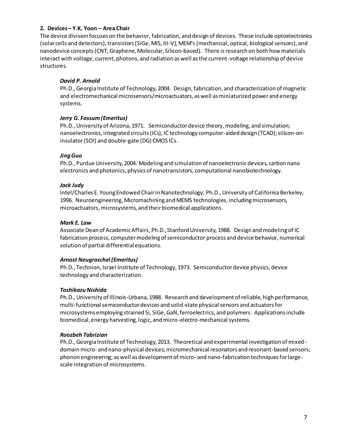#### **2. Devices – Y.K. Yoon – Area Chair**

The device division focuses on the behavior, fabrication, and design of devices. These include optoelectronics (solar cells and detectors), transistors (SiGe, MIS, III-V), MEM's (mechanical, optical, biological sensors), and nanodevice concepts (CNT, Graphene, Molecular, Silicon-based). There is research on both how materials interact with voltage, current, photons, and radiation as well as the current-voltage relationship of device structures.

#### *David P. Arnold*

Ph.D., Georgia Institute of Technology, 2004. Design, fabrication, and characterization of magnetic and electromechanical microsensors/microactuators, as well as miniaturized power and energy systems.

#### *Jerry G. Fossum (Emeritus)*

Ph.D., University of Arizona, 1971. Semiconductor device theory, modeling, and simulation; nanoelectronics, integrated circuits (ICs), IC technology computer-aided design (TCAD); silicon-oninsulator (SOI) and double-gate (DG) CMOS ICs.

#### *Jing Guo*

Ph.D., Purdue University, 2004. Modeling and simulation of nanoelectronic devices, carbon nano electronics and photonics, physics of nanotransistors, computational nanobiotechnology.

#### *Jack Judy*

Intel/Charles E. Young Endowed Chair in Nanotechnology; Ph.D., University of California Berkeley, 1996. Neuroengineering, Micromachining and MEMS technologies, including microsensors, microactuators, microsystems, and their biomedical applications.

#### *Mark E. Law*

Associate Dean of Academic Affairs, Ph.D., Stanford University, 1988. Design and modeling of IC fabrication process, computer modeling of semiconductor process and device behavior, numerical solution of partial differential equations.

#### *Arnost Neugroschel (Emeritus)*

Ph.D., Technion, Israel Institute of Technology, 1973. Semiconductor device physics, device technology and characterization.

#### *Toshikazu Nishida*

Ph.D., University of Illinois-Urbana, 1988. Research and development of reliable, high performance, multi-functional semiconductor devices and solid-state physical sensors and actuators for microsystems employing strained Si, SiGe, GaN, ferroelectrics, and polymers. Applications include biomedical, energy harvesting, logic, and micro-electro-mechanical systems.

#### *Roozbeh Tabrizian*

Ph.D., Georgia Institute of Technology, 2013. Theoretical and experimental investigation of mixeddomain micro- and nano-physical devices; micromechanical resonators and resonant-based sensors; phonon engineering; as well as development of micro- and nano-fabrication techniques for largescale integration of microsystems.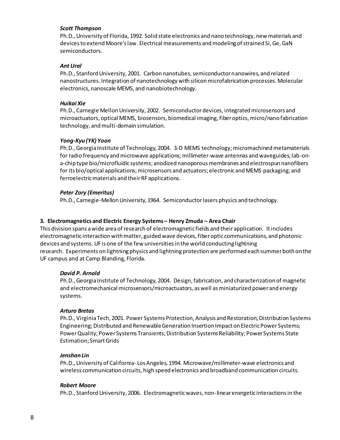#### *Scott Thompson*

Ph.D., University of Florida, 1992. Solid state electronics and nano technology, new materials and devices to extend Moore's law. Electrical measurements and modeling of strained Si, Ge, GaN semiconductors.

#### *Ant Ural*

Ph.D., Stanford University, 2001. Carbon nanotubes, semiconductor nanowires, and related nanostructures. Integration of nanotechnology with silicon microfabrication processes. Molecular electronics, nanoscale MEMS, and nanobiotechnology.

#### *Huikai Xie*

Ph.D., Carnegie Mellon University, 2002. Semiconductor devices, integrated microsensors and microactuators, optical MEMS, biosensors, biomedical imaging, fiber optics, micro/nano fabrication technology, and multi-domain simulation.

#### *Yong-Kyu (YK) Yoon*

Ph.D., Georgia Institute of Technology, 2004. 3-D MEMS technology; micromachined metamaterials for radio frequency and microwave applications; millimeter-wave antennas and waveguides; lab-ona-chip type bio/microfluidic systems; anodized nanoporous membranes and electrospun nanofibers for its bio/optical applications; microsensors and actuators; electronic and MEMS packaging; and ferroelectric materials and their RF applications.

#### *Peter Zory (Emeritus)*

Ph.D., Carnegie-Mellon University, 1964. Semiconductor lasers physics and technology.

#### **3. Electromagnetics and Electric Energy Systems – Henry Zmuda – Area Chair**

This division spans a wide area of research of electromagnetic fields and their application. It includes electromagnetic interaction with matter, guided wave devices, fiber optic communications, and photonic devices and systems. UF is one of the few universities in the world conducting lightning research. Experiments on lightning physics and lightning protection are performed each summer both on the UF campus and at Camp Blanding, Florida.

#### *David P. Arnold*

Ph.D., Georgia Institute of Technology, 2004. Design, fabrication, and characterization of magnetic and electromechanical microsensors/microactuators, as well as miniaturized power and energy systems.

#### *Arturo Bretas*

Ph.D., Virginia Tech, 2001. Power Systems Protection, Analysis and Restoration; Distribution Systems Engineering; Distributed and Renewable Generation Insertion Impact on Electric Power Systems; Power Quality; Power Systems Transients; Distribution Systems Reliability; Power Systems State Estimation; Smart Grids

#### *Jenshan Lin*

Ph.D., University of California- Los Angeles, 1994. Microwave/millimeter-wave electronics and wireless communication circuits, high speed electronics and broadband communication circuits.

#### *Robert Moore*

Ph.D., Stanford University, 2006. Electromagnetic waves, non-linear energetic interactions in the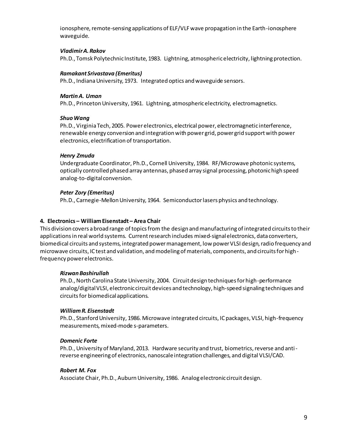ionosphere, remote-sensing applications of ELF/VLF wave propagation in the Earth-ionosphere waveguide.

#### *Vladimir A. Rakov*

Ph.D., Tomsk Polytechnic Institute, 1983. Lightning, atmospheric electricity, lightning protection.

#### *Ramakant Srivastava (Emeritus)*

Ph.D., Indiana University, 1973. Integrated optics and waveguide sensors.

#### *Martin A. Uman*

Ph.D., Princeton University, 1961. Lightning, atmospheric electricity, electromagnetics.

#### *Shuo Wang*

Ph.D., Virginia Tech, 2005. Power electronics, electrical power, electromagnetic interference, renewable energy conversion and integration with power grid, power grid support with power electronics, electrification of transportation.

#### *Henry Zmuda*

Undergraduate Coordinator, Ph.D., Cornell University, 1984. RF/Microwave photonic systems, optically controlled phased array antennas, phased array signal processing, photonic high speed analog-to-digital conversion.

#### *Peter Zory (Emeritus)*

Ph.D., Carnegie-Mellon University, 1964. Semiconductor lasers physics and technology.

#### **4. Electronics – William Eisenstadt – Area Chair**

This division covers a broad range of topics from the design and manufacturing of integrated circuits to their applications in real world systems. Current research includes mixed-signal electronics, data converters, biomedical circuits and systems, integrated power management, low power VLSI design, radio frequency and microwave circuits, IC test and validation, and modeling of materials, components, and circuits for highfrequency power electronics.

#### *Rizwan Bashirullah*

Ph.D., North Carolina State University, 2004. Circuit design techniques for high-performance analog/digital VLSI, electronic circuit devices and technology, high-speed signaling techniques and circuits for biomedical applications.

#### *William R. Eisenstadt*

Ph.D., Stanford University, 1986. Microwave integrated circuits, IC packages, VLSI, high-frequency measurements, mixed-mode s-parameters.

#### *Domenic Forte*

Ph.D., University of Maryland, 2013. Hardware security and trust, biometrics, reverse and antireverse engineering of electronics, nanoscale integration challenges, and digital VLSI/CAD.

#### *Robert M. Fox*

Associate Chair, Ph.D., Auburn University, 1986. Analog electronic circuit design.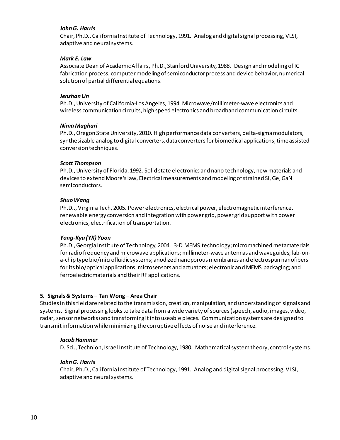#### *John G. Harris*

Chair, Ph.D., California Institute of Technology, 1991. Analog and digital signal processing, VLSI, adaptive and neural systems.

#### *Mark E. Law*

Associate Dean of Academic Affairs, Ph.D., Stanford University, 1988. Design and modeling of IC fabrication process, computer modeling of semiconductor process and device behavior, numerical solution of partial differential equations.

#### *Jenshan Lin*

Ph.D., University of California-Los Angeles, 1994. Microwave/millimeter-wave electronics and wireless communication circuits, high speed electronics and broadband communication circuits.

#### *Nima Maghari*

Ph.D., Oregon State University, 2010. High performance data converters, delta-sigma modulators, synthesizable analog to digital converters, data converters for biomedical applications, time assisted conversion techniques.

#### *Scott Thompson*

Ph.D., University of Florida, 1992. Solid state electronics and nano technology, new materials and devices to extend Moore's law, Electrical measurements and modeling of strained Si, Ge, GaN semiconductors.

#### *Shuo Wang*

Ph.D.., Virginia Tech, 2005. Power electronics, electrical power, electromagnetic interference, renewable energy conversion and integration with power grid, power grid support with power electronics, electrification of transportation.

#### *Yong-Kyu (YK) Yoon*

Ph.D., Georgia Institute of Technology, 2004. 3-D MEMS technology; micromachined metamaterials for radio frequency and microwave applications; millimeter-wave antennas and waveguides; lab-ona-chip type bio/microfluidic systems; anodized nanoporous membranes and electrospun nanofibers for its bio/optical applications; microsensors and actuators; electronic and MEMS packaging; and ferroelectric materials and their RF applications.

#### **5. Signals & Systems – Tan Wong – Area Chair**

Studies in this field are related to the transmission, creation, manipulation, and understanding of signals and systems. Signal processing looks to take data from a wide variety of sources (speech, audio, images, video, radar, sensor networks) and transforming it into useable pieces. Communication systems are designed to transmit information while minimizing the corruptive effects of noise and interference.

#### *Jacob Hammer*

D. Sci., Technion, Israel Institute of Technology, 1980. Mathematical system theory, control systems.

#### *John G. Harris*

Chair, Ph.D., California Institute of Technology, 1991. Analog and digital signal processing, VLSI, adaptive and neural systems.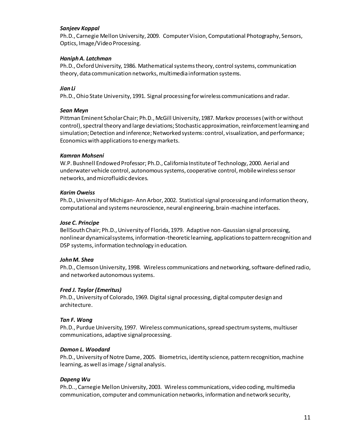#### *Sanjeev Koppal*

Ph.D., Carnegie Mellon University, 2009. Computer Vision, Computational Photography, Sensors, Optics, Image/Video Processing.

#### *Haniph A. Latchman*

Ph.D., Oxford University, 1986. Mathematical systems theory, control systems, communication theory, data communication networks, multimedia information systems.

#### *Jian Li*

Ph.D., Ohio State University, 1991. Signal processing for wireless communications and radar.

#### *Sean Meyn*

Pittman Eminent Scholar Chair; Ph.D., McGill University, 1987. Markov processes (with or without control), spectral theory and large deviations; Stochastic approximation, reinforcement learning and simulation; Detection and inference; Networked systems: control, visualization, and performance; Economics with applications to energy markets.

#### *Kamran Mohseni*

W.P. Bushnell Endowed Professor; Ph.D., California Institute of Technology, 2000. Aerial and underwater vehicle control, autonomous systems, cooperative control, mobile wireless sensor networks, and microfluidic devices.

#### *Karim Oweiss*

Ph.D., University of Michigan- Ann Arbor, 2002. Statistical signal processing and information theory, computational and systems neuroscience, neural engineering, brain-machine interfaces.

#### *Jose C. Principe*

BellSouth Chair; Ph.D., University of Florida, 1979. Adaptive non-Gaussian signal processing, nonlinear dynamical systems, information-theoretic learning, applications to pattern recognition and DSP systems, information technology in education.

#### *John M. Shea*

Ph.D., Clemson University, 1998. Wireless communications and networking, software-defined radio, and networked autonomous systems.

#### *Fred J. Taylor (Emeritus)*

Ph.D., University of Colorado, 1969. Digital signal processing, digital computer design and architecture.

#### *Tan F. Wong*

Ph.D., Purdue University, 1997. Wireless communications, spread spectrum systems, multiuser communications, adaptive signal processing.

#### *Damon L. Woodard*

Ph.D., University of Notre Dame, 2005. Biometrics, identity science, pattern recognition, machine learning, as well as image / signal analysis.

#### *Dapeng Wu*

Ph.D.., Carnegie Mellon University, 2003. Wireless communications, video coding, multimedia communication, computer and communication networks, information and network security,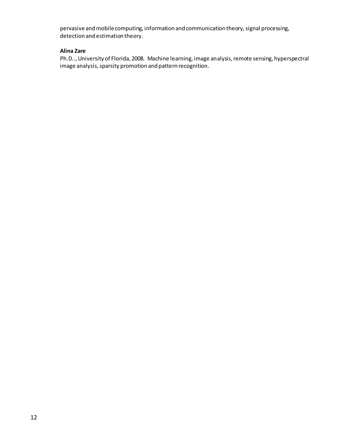pervasive and mobile computing, information and communication theory, signal processing, detection and estimation theory.

#### **Alina Zare**

Ph.D.., University of Florida, 2008. Machine learning, image analysis, remote sensing, hyperspectral image analysis, sparsity promotion and pattern recognition.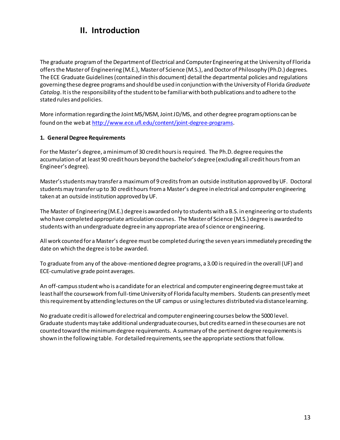# **II. Introduction**

The graduate program of the Department of Electrical and Computer Engineering at the University of Florida offers the Master of Engineering (M.E.), Master of Science (M.S.), and Doctor of Philosophy (Ph.D.) degrees. The ECE Graduate Guidelines(contained in this document) detail the departmental policies and regulations governing these degree programs and should be used in conjunction with the University of Florida *Graduate Catalog*. It is the responsibility of the student to be familiar with both publications and to adhere to the stated rules and policies.

More information regarding the Joint MS/MSM, Joint JD/MS, and other degree program options can be found on the web a[t http://www.ece.ufl.edu/content/joint-degree-programs](http://www.ece.ufl.edu/content/joint-degree-programs).

#### **1. General Degree Requirements**

For the Master's degree, a minimum of 30 credit hours is required. The Ph.D. degree requires the accumulation of at least 90 credit hours beyond the bachelor's degree (excluding all credit hours from an Engineer's degree).

Master's studentsmay transfer a maximum of 9 credits from an outside institution approved by UF. Doctoral students may transfer up to 30 credit hours from a Master's degree in electrical and computer engineering taken at an outside institution approved by UF.

The Master of Engineering (M.E.) degree is awarded only to students with a B.S. in engineering or to students who have completed appropriate articulation courses. The Master of Science (M.S.) degree is awarded to students with an undergraduate degree in any appropriate area of science or engineering.

All work counted for a Master's degree must be completed during the seven years immediately preceding the date on which the degree is to be awarded.

To graduate from any of the above-mentioned degree programs, a 3.00 is required in the overall (UF) and ECE-cumulative grade point averages.

An off-campus student who is a candidate for an electrical and computer engineering degree must take at least half the coursework from full-time University of Florida faculty members. Students can presently meet this requirement by attending lectures on the UF campus or using lectures distributed via distance learning.

No graduate credit is allowed for electrical and computer engineering courses below the 5000 level. Graduate students may take additional undergraduate courses, but credits earned in these courses are not counted toward the minimum degree requirements. A summary of the pertinent degree requirements is shown in the following table. For detailed requirements, see the appropriate sections that follow.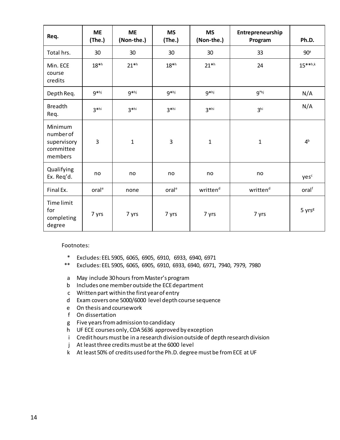| Req.                                                        | <b>ME</b><br>(The.) | <b>ME</b><br>(Non-the.) | <b>MS</b><br>(The.) | <b>MS</b><br>(Non-the.) | Entrepreneurship<br>Program | Ph.D.              |
|-------------------------------------------------------------|---------------------|-------------------------|---------------------|-------------------------|-----------------------------|--------------------|
| Total hrs.                                                  | 30                  | 30                      | 30                  | 30                      | 33                          | 90 <sup>a</sup>    |
| Min. ECE<br>course<br>credits                               | 18 <sup>th</sup>    | $21^{*h}$               | 18 <sup>th</sup>    | $21^{*h}$               | 24                          | $15***h,k$         |
| Depth Req.                                                  | g*hj                | g*hj                    | g*hj                | g*hj                    | $q^*$ hj                    | N/A                |
| <b>Breadth</b><br>Req.                                      | $3^*$ hi            | $3*hi$                  | $3*hi$              | $3^*$ hi                | 3 <sup>hi</sup>             | N/A                |
| Minimum<br>number of<br>supervisory<br>committee<br>members | 3                   | $\mathbf{1}$            | 3                   | $\mathbf 1$             | $\mathbf{1}$                | 4 <sup>b</sup>     |
| Qualifying<br>Ex. Req'd.                                    | no                  | no                      | no                  | no                      | no                          | yesc               |
| Final Ex.                                                   | oral <sup>e</sup>   | none                    | oral <sup>e</sup>   | written <sup>d</sup>    | written <sup>d</sup>        | oralf              |
| <b>Time limit</b><br>for<br>completing<br>degree            | 7 yrs               | 7 yrs                   | 7 yrs               | 7 yrs                   | 7 yrs                       | 5 yrs <sup>g</sup> |

Footnotes:

- \* Excludes: EEL 5905, 6065, 6905, 6910, 6933, 6940, 6971
- \*\* Excludes: EEL 5905, 6065, 6905, 6910, 6933, 6940, 6971, 7940, 7979, 7980
- a May include 30 hours from Master's program
- b Includes one member outside the ECE department
- c Written part within the first year of entry
- d Exam covers one 5000/6000 level depth course sequence
- e On thesis and coursework
- f On dissertation
- g Five years from admission to candidacy
- h UF ECE courses only, CDA 5636 approved by exception
- i Credit hours must be in a research division outside of depth research division
- j At least three credits must be at the 6000 level
- k At least 50% of credits used for the Ph.D. degree must be from ECE at UF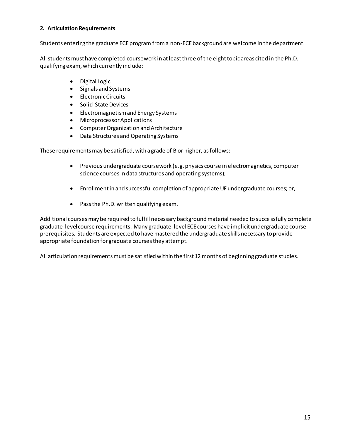#### **2. Articulation Requirements**

Students entering the graduate ECE program from a non-ECE background are welcome in the department.

All students must have completed coursework in at least three of the eight topic areas cited in the Ph.D. qualifying exam, which currently include:

- Digital Logic
- Signals and Systems
- Electronic Circuits
- Solid-State Devices
- Electromagnetism and Energy Systems
- Microprocessor Applications
- **•** Computer Organization and Architecture
- Data Structures and Operating Systems

These requirements may be satisfied, with a grade of B or higher, as follows:

- $\bullet$  Previous undergraduate coursework (e.g. physics course in electromagnetics, computer science courses in data structures and operating systems);
- x Enrollment in and successful completion of appropriate UF undergraduate courses; or,
- $\bullet$  Pass the Ph.D. written qualifying exam.

Additional courses may be required to fulfill necessary background material needed to succe ssfully complete graduate-level course requirements. Many graduate-level ECE courses have implicit undergraduate course prerequisites. Students are expected to have mastered the undergraduate skills necessary to provide appropriate foundation for graduate courses they attempt.

All articulation requirements must be satisfied within the first 12 months of beginning graduate studies.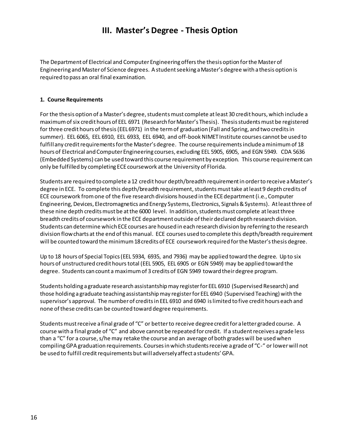# **III. Master's Degree - Thesis Option**

The Department of Electrical and Computer Engineering offers the thesis option for the Master of Engineering and Master of Science degrees. A student seeking a Master's degree with a thesis option is required to pass an oral final examination.

#### **1. Course Requirements**

For the thesis option of a Master's degree, studentsmust complete at least 30 credit hours, which include a maximum of six credit hours of EEL 6971 (Research for Master's Thesis). Thesis students must be registered for three credit hours of thesis (EEL 6971) in the term of graduation (Fall and Spring, and two credits in summer). EEL 6065, EEL 6910, EEL 6933, EEL 6940, and off-book NIMET Institute courses cannot be used to fulfill any credit requirementsfor the Master's degree. The course requirements include a minimum of 18 hours of Electrical and Computer Engineering courses, excluding EEL 5905, 6905, and EGN 5949. CDA 5636 (Embedded Systems) can be used toward this course requirement by exception. This course requirement can only be fulfilled by completing ECEcoursework at the University of Florida.

Students are required to complete a 12 credit hour depth/breadth requirement in order to receive a Master's degree in ECE. To complete this depth/breadth requirement, students must take at least 9 depth credits of ECE coursework from one of the five research divisions housed in the ECE department(i.e., Computer Engineering, Devices, Electromagnetics and Energy Systems, Electronics, Signals & Systems). At least three of these nine depth credits must be at the 6000 level. In addition, students must complete at least three breadth credits of coursework in the ECE department outside of their declared depth research division. Students can determine which ECE courses are housed in each research division by referring to the research division flowcharts at the end of this manual. ECE courses used to complete this depth/breadth requirement will be counted toward the minimum 18 credits of ECE coursework required for the Master's thesis degree.

Up to 18 hours of Special Topics (EEL 5934, 6935, and 7936) may be applied toward the degree. Up to six hours of unstructured credit hours total (EEL 5905, EEL 6905 or EGN 5949) may be applied toward the degree. Students can count a maximum of 3 credits of EGN 5949 toward their degree program.

Students holding a graduate research assistantship may register for EEL 6910 (Supervised Research) and those holding a graduate teaching assistantship may register for EEL 6940 (Supervised Teaching) with the supervisor's approval. The number of credits in EEL 6910 and 6940 is limited to five credit hours each and none of these credits can be counted toward degree requirements.

Students must receive a final grade of "C" or better to receive degree credit for a letter graded course. A course with a final grade of "C" and above cannot be repeated for credit. If a student receives a grade less than a "C" for a course, s/he may retake the course and an average of both grades will be used when compiling GPA graduation requirements. Courses in which students receive a grade of "C-" or lower will not be used to fulfill credit requirements but will adversely affect a students' GPA.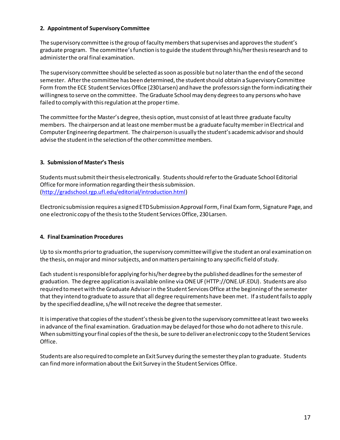#### **2. Appointment of Supervisory Committee**

The supervisory committee is the group of faculty members that supervises and approves the student's graduate program. The committee's function is to guide the student through his/her thesis research and to administer the oral final examination.

The supervisory committee should be selected as soon as possible but no later than the end of the second semester. After the committee has been determined, the student should obtain a Supervisory Committee Form from the ECE Student Services Office (230 Larsen) and have the professors sign the form indicating their willingness to serve on the committee. The Graduate School may deny degrees to any persons who have failed to comply with this regulation at the proper time.

The committee for the Master's degree, thesis option, must consist of at least three graduate faculty members. The chairperson and at least one member must be a graduate faculty member in Electrical and Computer Engineering department. The chairperson is usually the student's academic advisor and should advise the student in the selection of the other committee members.

#### **3. Submission of Master's Thesis**

Students must submit their thesis electronically. Students should refer to the Graduate School Editorial Office for more information regarding their thesis submission. [\(http://gradschool.rgp.ufl.edu/editorial/introduction.html](http://gradschool.rgp.ufl.edu/editorial/introduction.html))

Electronic submission requires a signed ETDSubmission Approval Form, Final Exam form, Signature Page, and one electronic copy of the thesis to the Student Services Office, 230 Larsen.

#### **4. Final Examination Procedures**

Up to six months prior to graduation, the supervisory committee will give the student an oral examination on the thesis, on major and minor subjects, and on matters pertaining to any specific field of study.

Each student is responsible for applying for his/her degree by the published deadlines for the semester of graduation. The degree application is available online via ONE UF (HTTP://ONE.UF.EDU). Students are also required to meet with the Graduate Advisor in the Student Services Office at the beginning of the semester that they intend to graduate to assure that all degree requirements have been met. If a student fails to apply by the specified deadline, s/he will not receive the degree that semester.

It isimperative that copies of the student's thesis be given to the supervisory committee at least two weeks in advance of the final examination. Graduation may be delayed for those who do not adhere to this rule. When submitting your final copies of the thesis, be sure to deliver an electronic copy to the Student Services Office.

Students are also required to complete an Exit Survey during the semester they plan to graduate. Students can find more information about the Exit Survey in the Student Services Office.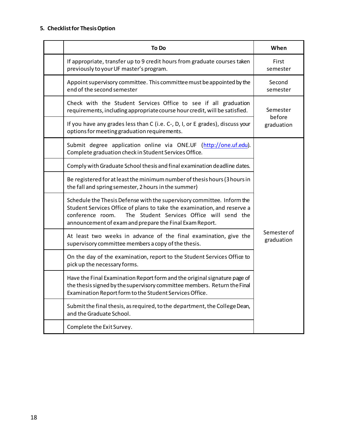## **5. Checklist for Thesis Option**

| <b>To Do</b>                                                                                                                                                                                                                                                                  | When                             |  |
|-------------------------------------------------------------------------------------------------------------------------------------------------------------------------------------------------------------------------------------------------------------------------------|----------------------------------|--|
| If appropriate, transfer up to 9 credit hours from graduate courses taken<br>previously to your UF master's program.                                                                                                                                                          | First<br>semester                |  |
| Appoint supervisory committee. This committee must be appointed by the<br>end of the second semester                                                                                                                                                                          | Second<br>semester               |  |
| Check with the Student Services Office to see if all graduation<br>requirements, including appropriate course hour credit, will be satisfied.                                                                                                                                 | Semester<br>before<br>graduation |  |
| If you have any grades less than C (i.e. C-, D, I, or E grades), discuss your<br>options for meeting graduation requirements.                                                                                                                                                 |                                  |  |
| Submit degree application online via ONE.UF (http://one.uf.edu).<br>Complete graduation check in Student Services Office.                                                                                                                                                     |                                  |  |
| Comply with Graduate School thesis and final examination deadline dates.                                                                                                                                                                                                      |                                  |  |
| Be registered for at least the minimum number of thesis hours (3 hours in<br>the fall and spring semester, 2 hours in the summer)                                                                                                                                             |                                  |  |
| Schedule the Thesis Defense with the supervisory committee. Inform the<br>Student Services Office of plans to take the examination, and reserve a<br>The Student Services Office will send the<br>conference room.<br>announcement of exam and prepare the Final Exam Report. |                                  |  |
| At least two weeks in advance of the final examination, give the<br>supervisory committee members a copy of the thesis.                                                                                                                                                       | <b>Semester</b> of<br>graduation |  |
| On the day of the examination, report to the Student Services Office to<br>pick up the necessary forms.                                                                                                                                                                       |                                  |  |
| Have the Final Examination Report form and the original signature page of<br>the thesis signed by the supervisory committee members. Return the Final<br>Examination Report form to the Student Services Office.                                                              |                                  |  |
| Submit the final thesis, as required, to the department, the College Dean,<br>and the Graduate School.                                                                                                                                                                        |                                  |  |
| Complete the Exit Survey.                                                                                                                                                                                                                                                     |                                  |  |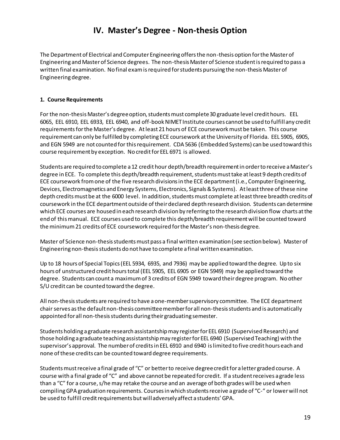# **IV. Master's Degree - Non-thesis Option**

The Department of Electrical and Computer Engineering offers the non-thesis option for the Master of Engineering and Master of Science degrees. The non-thesis Master of Science student is required to pass a written final examination. No final exam is required forstudents pursuing the non-thesis Master of Engineering degree.

#### **1. Course Requirements**

For the non-thesis Master's degree option, students must complete 30 graduate level credit hours. EEL 6065, EEL 6910, EEL 6933, EEL 6940, and off-book NIMET Institute courses cannot be used to fulfill any credit requirements for the Master's degree. At least 21 hours of ECE courseworkmust be taken. This course requirement can only be fulfilled by completing ECE coursework at the University of Florida. EEL 5905, 6905, and EGN 5949 are not counted for this requirement. CDA 5636 (Embedded Systems) can be used toward this course requirement by exception. No credit for EEL 6971 is allowed.

Students are required to complete a 12 credit hour depth/breadth requirement in order to receive a Master's degree in ECE. To complete this depth/breadth requirement, students must take at least 9 depth credits of ECE coursework from one of the five research divisions in the ECE department (i.e., Computer Engineering, Devices, Electromagnetics and Energy Systems, Electronics, Signals & Systems). At least three of these nine depth credits must be at the 6000 level. In addition, students must complete at leastthree breadth credits of coursework in the ECE department outside of their declared depth research division. Students can determine which ECE courses are housed in each research division by referring to the research division flow charts at the end of this manual. ECE courses used to complete this depth/breadth requirement will be counted toward the minimum 21 credits of ECE coursework required for the Master's non-thesis degree.

Master of Science non-thesis students must pass a final written examination (see section below). Master of Engineering non-thesis students do not have to complete a final written examination.

Up to 18 hours of Special Topics (EEL 5934, 6935, and 7936) may be applied toward the degree. Up to six hours of unstructured credit hours total (EEL 5905, EEL 6905 or EGN 5949) may be applied toward the degree. Students can count a maximum of 3 credits of EGN 5949 toward their degree program. No other S/U credit can be counted toward the degree.

All non-thesis students are required to have a one-membersupervisory committee. The ECE department chair serves as the default non-thesis committee member for all non-thesis students and is automatically appointed for all non-thesis students during their graduating semester.

Students holding a graduate research assistantship may register for EEL 6910 (Supervised Research) and those holding a graduate teaching assistantship may register for EEL 6940 (Supervised Teaching) with the supervisor's approval. The number of credits in EEL 6910 and 6940 is limited to five credit hours each and none of these credits can be counted toward degree requirements.

Students must receive a final grade of "C" or better to receive degree credit for a letter graded course. A course with a final grade of "C" and above cannot be repeated for credit. If a student receives a grade less than a "C" for a course, s/he may retake the course and an average of both grades will be used when compiling GPA graduation requirements. Courses in which students receive a grade of "C-" or lower will not be used to fulfill credit requirements but will adversely affect a students' GPA.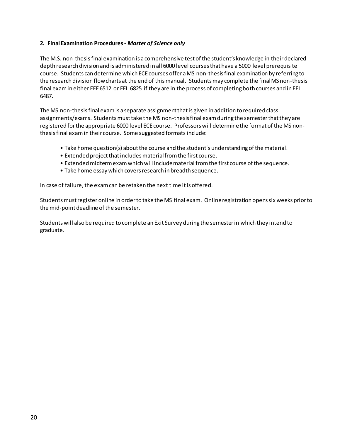#### **2. Final Examination Procedures -** *Master of Science only*

The M.S. non-thesis final examination is a comprehensive test of the student's knowledge in their declared depth research division and is administered in all 6000 level courses that have a 5000 level prerequisite course. Students can determine which ECE courses offer a MS non-thesis final examination by referring to the research division flow charts at the end of this manual. Students may complete the final MS non-thesis final exam in either EEE 6512 or EEL 6825 if they are in the process of completing both courses and in EEL 6487.

The MS non-thesis final exam is a separate assignment that is given in addition to required class assignments/exams. Students must take the MS non-thesis final exam during the semester that they are registered for the appropriate 6000 level ECE course. Professors will determine the format of the MS nonthesis final exam in their course. Some suggested formats include:

- Take home question(s) about the course and the student's understanding of the material.
- Extended project that includes material from the first course.
- Extended midterm exam which will include material from the first course of the sequence.
- Take home essay which covers research in breadth sequence.

In case of failure, the exam can be retaken the next time it is offered.

Students must register online in order to take the MS final exam. Online registration opens six weeks prior to the mid-point deadline of the semester.

Students will also be required to complete an Exit Survey during the semester in which they intend to graduate.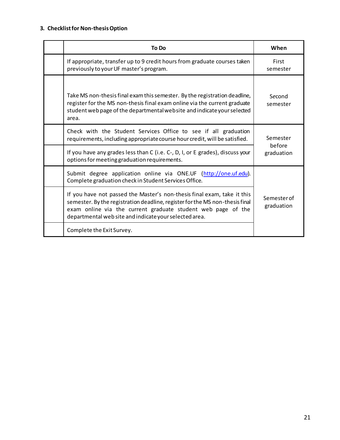## **3. Checklist for Non-thesis Option**

| To Do                                                                                                                                                                                                                                                                             | When                             |  |
|-----------------------------------------------------------------------------------------------------------------------------------------------------------------------------------------------------------------------------------------------------------------------------------|----------------------------------|--|
| If appropriate, transfer up to 9 credit hours from graduate courses taken<br>previously to your UF master's program.                                                                                                                                                              | First<br>semester                |  |
| Take MS non-thesis final exam this semester. By the registration deadline,<br>register for the MS non-thesis final exam online via the current graduate<br>student web page of the departmental website and indicate your selected<br>area.                                       | Second<br>semester               |  |
| Check with the Student Services Office to see if all graduation<br>requirements, including appropriate course hour credit, will be satisfied.                                                                                                                                     | Semester<br>before<br>graduation |  |
| If you have any grades less than C (i.e. C-, D, I, or E grades), discuss your<br>options for meeting graduation requirements.                                                                                                                                                     |                                  |  |
| Submit degree application online via ONE.UF (http://one.uf.edu).<br>Complete graduation check in Student Services Office.                                                                                                                                                         |                                  |  |
| If you have not passed the Master's non-thesis final exam, take it this<br>semester. By the registration deadline, register for the MS non-thesis final<br>exam online via the current graduate student web page of the<br>departmental web site and indicate your selected area. | Semester of<br>graduation        |  |
| Complete the Exit Survey.                                                                                                                                                                                                                                                         |                                  |  |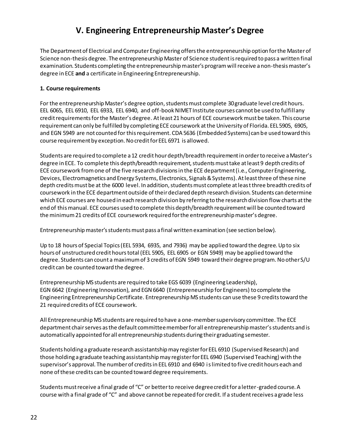# **V. Engineering Entrepreneurship Master's Degree**

The Department of Electrical and Computer Engineering offers the entrepreneurship option for the Master of Science non-thesis degree. The entrepreneurship Master of Science student is required to pass a written final examination. Students completing the entrepreneurship master's program will receive a non-thesis master's degree in ECE **and** a certificate in Engineering Entrepreneurship.

#### **1. Course requirements**

For the entrepreneurship Master's degree option, students must complete 30graduate level credit hours. EEL 6065, EEL 6910, EEL 6933, EEL 6940, and off-book NIMET Institute courses cannot be used to fulfill any credit requirements for the Master's degree. At least 21 hours of ECE courseworkmust be taken. This course requirement can only be fulfilled by completing ECE coursework at the University of Florida. EEL 5905, 6905, and EGN 5949 are not counted for this requirement. CDA 5636 (Embedded Systems) can be used toward this course requirement by exception. No credit for EEL 6971 is allowed.

Students are required to complete a 12 credit hour depth/breadth requirement in order to receive a Master's degree in ECE. To complete this depth/breadth requirement, students must take at least 9 depth credits of ECE coursework from one of the five research divisions in the ECE department (i.e., Computer Engineering, Devices, Electromagnetics and Energy Systems, Electronics, Signals & Systems). At least three of these nine depth credits must be at the 6000 level. In addition, students must complete at least three breadth credits of coursework in the ECE department outside of their declared depth research division. Students can determine which ECE courses are housed in each research division by referring to the research division flow charts at the end of this manual. ECE courses used to complete this depth/breadth requirement will be counted toward the minimum 21 credits of ECE coursework required for the entrepreneurship master's degree.

Entrepreneurship master's students must pass a final written examination (see section below).

Up to 18 hours of Special Topics (EEL 5934, 6935, and 7936) may be applied toward the degree. Up to six hours of unstructured credit hours total (EEL 5905, EEL 6905 or EGN 5949) may be applied toward the degree. Students can count a maximum of 3 credits of EGN 5949 toward their degree program. No other S/U credit can be counted toward the degree.

Entrepreneurship MS students are required to take EGS 6039 (Engineering Leadership), EGN 6642 (Engineering Innovation), and EGN 6640 (Entrepreneurship for Engineers) to complete the Engineering Entrepreneurship Certificate. Entrepreneurship MS students can use these 9 credits toward the 21 required credits of ECE coursework.

All Entrepreneurship MS students are required to have a one-membersupervisory committee. The ECE department chair serves as the default committee member for all entrepreneurship master's students and is automatically appointed for all entrepreneurship students during their graduating semester.

Students holding a graduate research assistantship may register for EEL 6910 (Supervised Research) and those holding a graduate teaching assistantship may register for EEL 6940 (Supervised Teaching) with the supervisor's approval. The number of credits in EEL 6910 and 6940 is limited to five credit hours each and none of these credits can be counted toward degree requirements.

Students must receive a final grade of "C" or better to receive degree credit for a letter-graded course. A course with a final grade of "C" and above cannot be repeated for credit. If a student receives a grade less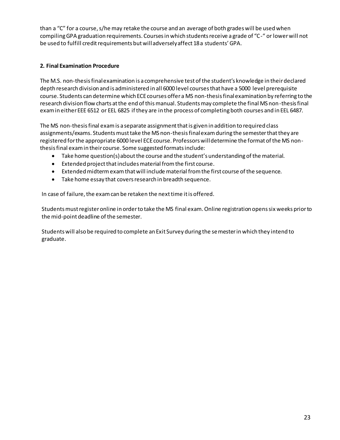than a "C" for a course, s/he may retake the course and an average of both grades will be used when compiling GPA graduation requirements. Courses in which students receive a grade of "C-" or lower will not be used to fulfill credit requirements but will adversely affect 18 a students' GPA.

#### **2. Final Examination Procedure**

The M.S. non-thesis final examination is a comprehensive test of the student's knowledge in their declared depth research division and is administered in all 6000 level courses that have a 5000 level prerequisite course. Students can determine which ECE courses offer a MS non-thesis final examination by referring to the research division flow charts at the end of this manual. Students may complete the final MS non-thesis final exam in either EEE 6512 or EEL 6825 if they are in the process of completing both courses and in EEL 6487.

The MS non-thesis final exam is a separate assignment that is given in addition to required class assignments/exams. Students must take the MS non-thesis final exam during the semester that they are registered for the appropriate 6000 level ECE course. Professors will determine the format of the MS nonthesis final exam in their course. Some suggested formats include:

- $\bullet$  Take home question(s) about the course and the student's understanding of the material.
- $\bullet$  Extended project that includes material from the first course.
- Extended midterm exam that will include material from the first course of the sequence.
- Take home essay that covers research in breadth sequence.

In case of failure, the exam can be retaken the next time it is offered.

Students must register online in order to take the MS final exam. Online registration opens six weeks prior to the mid-point deadline of the semester.

Students will also be required to complete an Exit Survey during the semester in which they intend to graduate.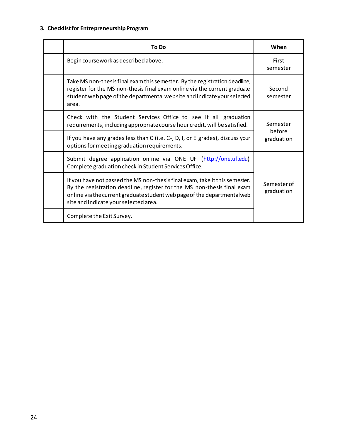## **3. Checklist for Entrepreneurship Program**

| To Do                                                                                                                                                                                                                                                                       | When                      |  |
|-----------------------------------------------------------------------------------------------------------------------------------------------------------------------------------------------------------------------------------------------------------------------------|---------------------------|--|
| Begin coursework as described above.                                                                                                                                                                                                                                        | First<br>semester         |  |
| Take MS non-thesis final exam this semester. By the registration deadline,<br>register for the MS non-thesis final exam online via the current graduate<br>student web page of the departmental website and indicate your selected<br>area.                                 | Second<br>semester        |  |
| Check with the Student Services Office to see if all graduation<br>requirements, including appropriate course hour credit, will be satisfied.                                                                                                                               | Semester                  |  |
| If you have any grades less than C (i.e. C-, D, I, or E grades), discuss your<br>options for meeting graduation requirements.                                                                                                                                               | before<br>graduation      |  |
| Submit degree application online via ONE UF (http://one.uf.edu).<br>Complete graduation check in Student Services Office.                                                                                                                                                   |                           |  |
| If you have not passed the MS non-thesis final exam, take it this semester.<br>By the registration deadline, register for the MS non-thesis final exam<br>online via the current graduate student web page of the departmental web<br>site and indicate your selected area. | Semester of<br>graduation |  |
| Complete the Exit Survey.                                                                                                                                                                                                                                                   |                           |  |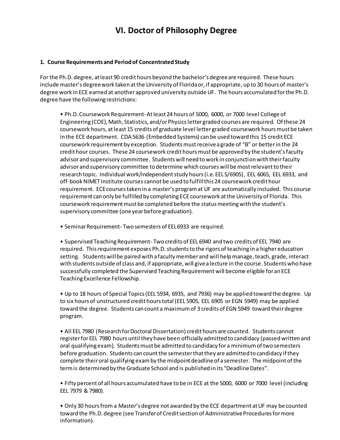# **VI. Doctor of Philosophy Degree**

#### **1. Course Requirements and Period of Concentrated Study**

For the Ph.D. degree, at least 90 credit hours beyond the bachelor's degree are required. These hours include master's degree work taken at the University of Florida or, if appropriate, up to 30 hours of master's degree work in ECE earned at another approved university outside UF. The hours accumulated for the Ph.D. degree have the following restrictions:

• Ph.D. Coursework Requirement-At least 24 hours of 5000, 6000, or 7000 level College of Engineering (COE), Math, Statistics, and/or Physicsletter graded courses are required. Of these 24 coursework hours, at least 15 credits of graduate level letter graded coursework hours must be taken in the ECE department. CDA 5636 (Embedded Systems) can be used toward this 15 credit ECE coursework requirement by exception. Students must receive a grade of "B" or better in the 24 credit hour courses. These 24 coursework credit hours must be approved by the student's faculty advisor and supervisory committee. Students will need to work in conjunction with their faculty advisor and supervisory committee to determine which courses will be most relevant to their research topic. Individual work/independent study hours (i.e. EEL 5/6905), EEL 6065, EEL 6933, and off-book NIMET Institute courses cannot be used to fulfill this 24 coursework credit hour requirement. ECE courses taken in a master's program at UF are automatically included. This course requirement can only be fulfilled by completing ECEcoursework at the University of Florida. This coursework requirement must be completed before the status meeting with the student's supervisory committee (one year before graduation).

• Seminar Requirement- Two semesters of EEL 6933 are required.

• Supervised Teaching Requirement- Two credits of EEL 6940 and two credits of EEL 7940 are required. This requirement exposes Ph.D. students to the rigors of teaching in a higher education setting. Studentswill be paired with a faculty member and will help manage, teach, grade, interact with students outside of class and, if appropriate, will give a lecture in the course. Students who have successfully completed the Supervised Teaching Requirement will become eligible for an ECE Teaching Excellence Fellowship.

• Up to 18 hours of Special Topics (EEL 5934, 6935, and 7936) may be applied toward the degree. Up to six hours of unstructured credit hours total (EEL 5905, EEL 6905 or EGN 5949) may be applied toward the degree. Students can count a maximum of 3 credits of EGN 5949 toward their degree program.

• All EEL 7980 (Research for Doctoral Dissertation) credit hours are counted. Students cannot register for EEL 7980 hours until they have been officially admitted to candidacy (passed written and oral qualifying exam). Students must be admitted to candidacy for a minimum of two semesters before graduation. Students can count the semester that they are admitted to candidacy if they complete their oral qualifying examby the midpoint deadline of a semester. The midpoint of the term is determined by the Graduate School and is published in its "Deadline Dates".

• Fifty percent of all hours accumulated have to be in ECE at the 5000, 6000 or 7000 level (including EEL 7979 & 7980).

• Only 30 hours from a Master's degree not awarded by the ECE department at UF may be counted toward the Ph.D. degree (see Transfer of Credit section of Administrative Procedures for more information).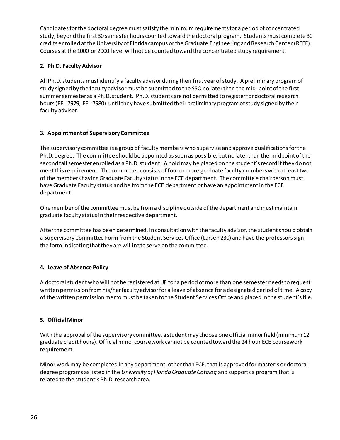Candidates for the doctoral degree must satisfy the minimum requirements for a period of concentrated study, beyond the first 30 semester hours counted toward the doctoral program. Students must complete 30 credits enrolled at the University of Florida campus or the Graduate Engineering and Research Center(REEF). Courses at the 1000 or 2000 level will not be counted toward the concentrated study requirement.

#### **2. Ph.D. Faculty Advisor**

All Ph.D. students must identify a faculty advisor during their first year of study. A preliminary program of study signed by the faculty advisor must be submitted to the SSO no later than the mid-point of the first summer semester as a Ph.D. student. Ph.D. students are not permitted to register for doctoral research hours (EEL 7979, EEL 7980) until they have submitted their preliminary program of study signed by their faculty advisor.

#### **3. Appointment of Supervisory Committee**

The supervisory committee is a group of faculty members who supervise and approve qualifications for the Ph.D. degree. The committee should be appointed as soon as possible, but no later than the midpoint of the second fall semester enrolled as a Ph.D. student. A holdmay be placed on the student's record if they do not meet this requirement. The committee consists of four or more graduate faculty members with at least two of the members having Graduate Faculty status in the ECE department. The committee chairperson must have Graduate Faculty status and be from the ECE department or have an appointment in the ECE department.

One member of the committee must be from a discipline outside of the department and must maintain graduate faculty status in their respective department.

After the committee has been determined, in consultation with the faculty advisor, the student should obtain a Supervisory Committee Form from the Student Services Office (Larsen 230) and have the professors sign the form indicating that they are willing to serve on the committee.

#### **4. Leave of Absence Policy**

A doctoral student who will not be registered at UF for a period of more than one semester needs to request written permission from his/her faculty advisor for a leave of absence for a designated period of time. A copy of the written permission memo must be taken to the Student Services Office and placed in the student's file.

#### **5. Official Minor**

With the approval of the supervisory committee, a student may choose one official minor field (minimum 12 graduate credit hours). Official minor coursework cannot be counted toward the 24 hour ECE coursework requirement.

Minor work may be completed in any department, other than ECE, that is approved for master's or doctoral degree programs as listed in the *University of Florida Graduate Catalog* and supports a program that is related to the student's Ph.D. research area.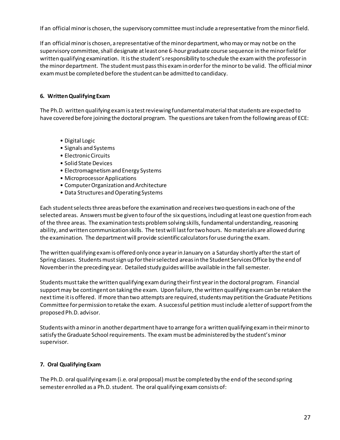If an official minor is chosen, the supervisory committee must include a representative from the minor field.

If an official minor is chosen, a representative of the minor department, who may or may not be on the supervisory committee, shall designate at least one 6-hour graduate course sequence in the minor field for written qualifying examination. It is the student's responsibility to schedule the exam with the professor in the minor department. The student must pass this exam in order for the minor to be valid. The official minor exam must be completed before the student can be admitted to candidacy.

#### **6. Written Qualifying Exam**

The Ph.D. written qualifying exam is a test reviewing fundamental material that students are expected to have covered before joining the doctoral program. The questions are taken from the following areas of ECE:

- Digital Logic
- Signals and Systems
- Electronic Circuits
- Solid State Devices
- Electromagnetism and Energy Systems
- Microprocessor Applications
- Computer Organization and Architecture
- Data Structures and Operating Systems

Each student selects three areas before the examination and receives two questions in each one of the selected areas. Answers must be given to four of the six questions, including at least one question from each of the three areas. The examination tests problem solving skills, fundamental understanding, reasoning ability, and written communication skills. The test will last for two hours. No materials are allowed during the examination. The department will provide scientific calculators for use during the exam.

The written qualifying exam is offered only once a year in January on a Saturday shortly after the start of Spring classes. Students must sign up for their selected areas in the Student Services Office by the end of November in the preceding year. Detailed study guides will be available in the fall semester.

Students must take the written qualifying exam during their first year in the doctoral program. Financial support may be contingent on taking the exam. Upon failure, the written qualifying exam can be retaken the next time it is offered. If more than two attempts are required, students may petition the Graduate Petitions Committee for permission to retake the exam. A successful petition must include a letter of support from the proposed Ph.D. advisor.

Students with a minor in another department have to arrange for a written qualifying exam in their minor to satisfy the Graduate School requirements. The exam must be administered by the student's minor supervisor.

#### **7. Oral Qualifying Exam**

The Ph.D. oral qualifying exam (i.e. oral proposal) must be completed by the end of the second spring semester enrolled as a Ph.D. student. The oral qualifying examconsists of: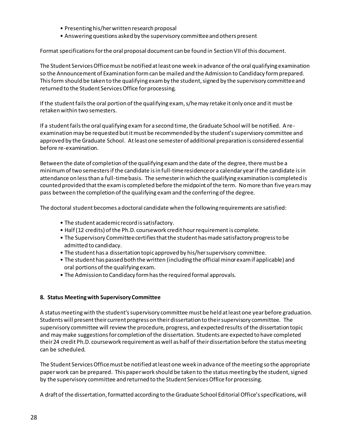- Presenting his/her written research proposal
- Answering questions asked by the supervisory committee and others present

Format specifications for the oral proposal document can be found in Section VII of this document.

The Student Services Office must be notified at least one week in advance of the oral qualifying examination so the Announcement of Examination form can be mailed and the Admission to Candidacy form prepared. This form should be taken to the qualifying exam by the student, signed by the supervisory committee and returned to the Student Services Office for processing.

If the student fails the oral portion of the qualifying exam, s/he may retake it only once and it must be retaken within two semesters.

If a student fails the oral qualifying exam for a second time, the Graduate School will be notified. A reexamination may be requested but it must be recommended by the student's supervisory committee and approved by the Graduate School. At least one semester of additional preparation is considered essential before re-examination.

Between the date of completion of the qualifying exam and the date of the degree, there must be a minimum of two semesters if the candidate is in full-time residence or a calendar year if the candidate is in attendance on less than a full-time basis. The semester in which the qualifying examination is completed is counted provided that the exam is completed before the midpoint of the term. No more than five years may pass between the completion of the qualifying exam and the conferring of the degree.

The doctoral student becomes a doctoral candidate when the following requirements are satisfied:

- The student academic record is satisfactory.
- Half (12 credits) of the Ph.D. coursework credit hour requirementis complete.
- The Supervisory Committee certifies that the student has made satisfactory progress to be admitted to candidacy.
- The student has a dissertation topic approved by his/her supervisory committee.
- The student has passed both the written (including the official minor exam if applicable) and oral portions of the qualifying exam.
- The Admission to Candidacy form has the required formal approvals.

#### **8. Status Meeting with Supervisory Committee**

A status meeting with the student's supervisory committee must be held at least one year before graduation. Students will present their current progress on their dissertation to their supervisory committee. The supervisory committee will review the procedure, progress, and expected results of the dissertation topic and may make suggestions for completion of the dissertation. Students are expected to have completed their 24 credit Ph.D. coursework requirement as well as half of their dissertation before the status meeting can be scheduled.

The Student Services Office must be notified at least one week in advance of the meeting so the appropriate paper work can be prepared. This paper work should be taken to the status meeting by the student, signed by the supervisory committee and returned to the Student Services Office for processing.

A draft of the dissertation, formatted according to the Graduate School Editorial Office's specifications, will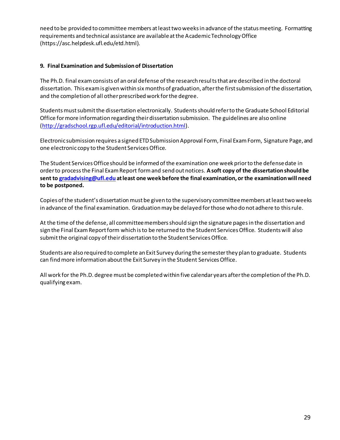need to be provided to committee members at least two weeks in advance of the status meeting. Formatting requirements and technical assistance are available at the Academic Technology Office (https://asc.helpdesk.ufl.edu/etd.html).

#### **9. Final Examination and Submission of Dissertation**

The Ph.D. final exam consists of an oral defense of the research results that are described in the doctoral dissertation. This exam is given within six months of graduation, after the first submission of the dissertation, and the completion of all other prescribed work for the degree.

Students must submit the dissertation electronically. Students should refer to the Graduate School Editorial Office for more information regarding their dissertation submission. The guidelines are also online [\(http://gradschool.rgp.ufl.edu/editorial/introduction.html](http://gradschool.rgp.ufl.edu/editorial/introduction.html)).

Electronic submission requires a signed ETD Submission Approval Form, Final Exam Form, Signature Page, and one electronic copy to the Student Services Office.

The Student Services Office should be informed of the examination one week prior to the defense date in order to process the Final Exam Report form and send out notices. **A soft copy of the dissertation should be sent t[o gradadvising@ufl.edu](mailto:gradadvising@ufl.edu) at least one week before the final examination, or the examination will need to be postponed.**

Copies of the student's dissertation must be given to the supervisory committee members at least two weeks in advance of the final examination. Graduation may be delayed for those who do not adhere to this rule.

At the time of the defense, all committee members should sign the signature pages in the dissertation and sign the Final Exam Report form which is to be returned to the Student Services Office. Students will also submit the original copy of their dissertation to the Student Services Office.

Students are also required to complete an Exit Survey during the semester they plan to graduate. Students can find more information about the Exit Survey in the Student Services Office.

All work for the Ph.D. degree must be completed within five calendar years after the completion of the Ph.D. qualifying exam.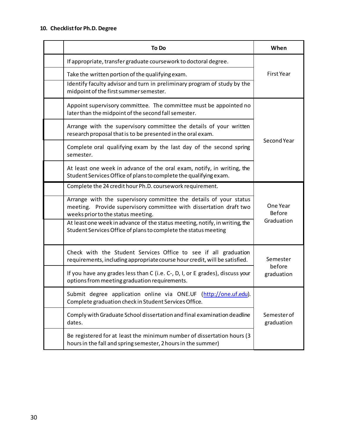|                                                       | To Do                                                                                                                                          | When                                    |  |
|-------------------------------------------------------|------------------------------------------------------------------------------------------------------------------------------------------------|-----------------------------------------|--|
|                                                       | If appropriate, transfer graduate coursework to doctoral degree.                                                                               | <b>First Year</b>                       |  |
| Take the written portion of the qualifying exam.      |                                                                                                                                                |                                         |  |
| midpoint of the first summer semester.                | Identify faculty advisor and turn in preliminary program of study by the                                                                       |                                         |  |
| later than the midpoint of the second fall semester.  | Appoint supervisory committee. The committee must be appointed no                                                                              | Second Year                             |  |
|                                                       | Arrange with the supervisory committee the details of your written<br>research proposal that is to be presented in the oral exam.              |                                         |  |
| semester.                                             | Complete oral qualifying exam by the last day of the second spring                                                                             |                                         |  |
|                                                       | At least one week in advance of the oral exam, notify, in writing, the<br>Student Services Office of plans to complete the qualifying exam.    |                                         |  |
|                                                       | Complete the 24 credit hour Ph.D. coursework requirement.                                                                                      |                                         |  |
| weeks prior to the status meeting.                    | Arrange with the supervisory committee the details of your status<br>meeting. Provide supervisory committee with dissertation draft two        | One Year<br><b>Before</b><br>Graduation |  |
|                                                       | At least one week in advance of the status meeting, notify, in writing, the<br>Student Services Office of plans to complete the status meeting |                                         |  |
|                                                       | Check with the Student Services Office to see if all graduation<br>requirements, including appropriate course hour credit, will be satisfied.  | Semester<br>before<br>graduation        |  |
| options from meeting graduation requirements.         | If you have any grades less than C (i.e. C-, D, I, or E grades), discuss your                                                                  |                                         |  |
| Complete graduation check in Student Services Office. | Submit degree application online via ONE.UF (http://one.uf.edu).                                                                               |                                         |  |
| dates.                                                | Comply with Graduate School dissertation and final examination deadline                                                                        | Semester of<br>graduation               |  |
|                                                       | Be registered for at least the minimum number of dissertation hours (3<br>hours in the fall and spring semester, 2 hours in the summer)        |                                         |  |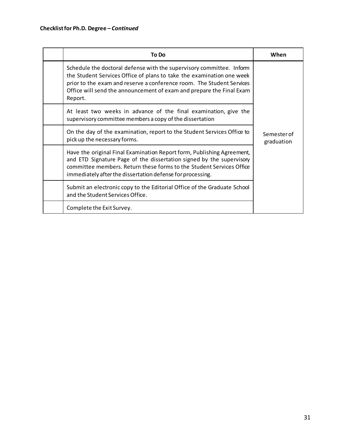|                                  | To Do                                                                                                                                                                                                                                                                                          | When                      |  |
|----------------------------------|------------------------------------------------------------------------------------------------------------------------------------------------------------------------------------------------------------------------------------------------------------------------------------------------|---------------------------|--|
| Report.                          | Schedule the doctoral defense with the supervisory committee. Inform<br>the Student Services Office of plans to take the examination one week<br>prior to the exam and reserve a conference room. The Student Services<br>Office will send the announcement of exam and prepare the Final Exam |                           |  |
|                                  | At least two weeks in advance of the final examination, give the<br>supervisory committee members a copy of the dissertation                                                                                                                                                                   |                           |  |
| pick up the necessary forms.     | On the day of the examination, report to the Student Services Office to                                                                                                                                                                                                                        | Semester of<br>graduation |  |
|                                  | Have the original Final Examination Report form, Publishing Agreement,<br>and ETD Signature Page of the dissertation signed by the supervisory<br>committee members. Return these forms to the Student Services Office<br>immediately after the dissertation defense for processing.           |                           |  |
| and the Student Services Office. | Submit an electronic copy to the Editorial Office of the Graduate School                                                                                                                                                                                                                       |                           |  |
| Complete the Exit Survey.        |                                                                                                                                                                                                                                                                                                |                           |  |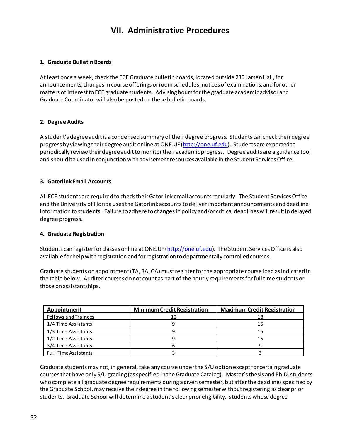# **VII. Administrative Procedures**

#### **1. Graduate Bulletin Boards**

At least once a week, check the ECE Graduate bulletin boards, located outside 230 Larsen Hall, for announcements, changes in course offerings or room schedules, notices of examinations, and for other matters of interest to ECE graduate students. Advising hours for the graduate academic advisor and Graduate Coordinator will also be posted on these bulletin boards.

#### **2. Degree Audits**

A student's degree audit is a condensed summary of theirdegree progress. Students can check their degree progress by viewing their degree audit online at ONE.UF [\(http://one.uf.edu](http://one.uf.edu/)). Students are expected to periodically review their degree audit to monitor their academic progress. Degree audits are a guidance tool and should be used in conjunction with advisement resources available in the Student Services Office.

#### **3. Gatorlink Email Accounts**

All ECE students are required to check their Gatorlink email accounts regularly. The Student Services Office and the University of Florida uses the Gatorlink accounts to deliver important announcements and deadline information to students. Failure to adhere to changes in policy and/or critical deadlines will result in delayed degree progress.

#### **4. Graduate Registration**

Students can register for classes online at ONE.UF [\(http://one.uf.edu](http://one.uf.edu/)). The Student Services Office is also available for help with registration and for registration to departmentally controlled courses.

Graduate students on appointment (TA, RA, GA) must register for the appropriate course load as indicated in the table below. Audited courses do not count as part of the hourly requirements for full time students or those on assistantships.

| Appointment          | <b>Minimum Credit Registration</b> | <b>Maximum Credit Registration</b> |
|----------------------|------------------------------------|------------------------------------|
| Fellows and Trainees | 12                                 | 18                                 |
| 1/4 Time Assistants  |                                    | 15                                 |
| 1/3 Time Assistants  |                                    | 15                                 |
| 1/2 Time Assistants  |                                    | 15                                 |
| 3/4 Time Assistants  |                                    |                                    |
| Full-Time Assistants |                                    |                                    |

Graduate students may not, in general, take any course under the S/U option except for certain graduate courses that have only S/U grading (as specified in the Graduate Catalog). Master's thesis and Ph.D. students who complete all graduate degree requirements during a given semester, but after the deadlines specified by the Graduate School, may receive their degree in the following semester without registering as clear prior students. Graduate School will determine a student's clear prior eligibility. Students whose degree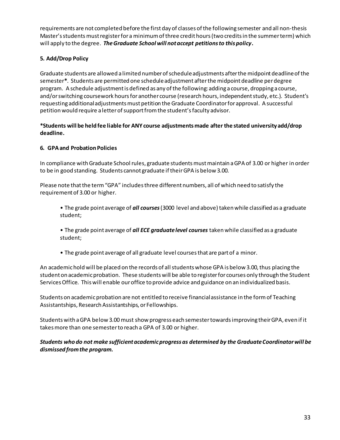requirements are not completed before the first day of classes of the following semester and all non-thesis Master's students must register for a minimum of three credit hours (two credits in the summer term) which will apply to the degree. *The Graduate School will not accept petitions to this policy***.**

#### **5. Add/Drop Policy**

Graduate students are allowed a limited number of schedule adjustments after the midpoint deadline of the semester**\***. Students are permitted one schedule adjustment after the midpoint deadline per degree program. A schedule adjustment is defined as any of the following: adding a course, dropping a course, and/or switching coursework hours for another course (research hours, independent study, etc.). Student's requesting additional adjustments must petition the Graduate Coordinator for approval. A successful petition would require a letter of support from the student's faculty advisor.

#### **\*Students will be held fee liable for ANY course adjustments made after the stated university add/drop deadline.**

#### **6. GPA and Probation Policies**

In compliance with Graduate School rules, graduate students must maintain a GPA of 3.00 or higher in order to be in good standing. Students cannot graduate if their GPA is below 3.00.

Please note that the term "GPA" includes three different numbers, all of which need to satisfy the requirement of 3.00 or higher.

- The grade point average of *all courses* (3000 level and above) taken while classified as a graduate student;
- The grade point average of *all ECE graduate level courses* taken while classified as a graduate student;
- The grade point average of all graduate level courses that are part of a minor.

An academic hold will be placed on the records of all students whose GPA is below 3.00, thus placing the student on academic probation. These students will be able to register for courses only through the Student Services Office. This will enable our office to provide advice and guidance on an individualized basis.

Students on academic probation are not entitled to receive financial assistance in the form of Teaching Assistantships, Research Assistantships, or Fellowships.

Students with a GPA below 3.00 must show progress each semester towards improving their GPA, even if it takes more than one semester to reach a GPA of 3.00 or higher.

#### *Students who do not make sufficient academic progress as determined by the Graduate Coordinator will be dismissed from the program.*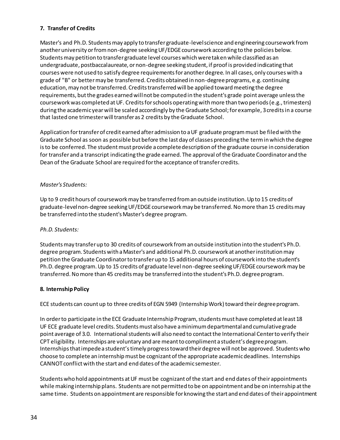#### **7. Transfer of Credits**

Master's and Ph.D. Students may apply to transfer graduate-level science and engineering coursework from another university or from non-degree seeking UF/EDGE coursework according to the policies below. Students may petition to transfer graduate level courses which were taken while classified as an undergraduate, postbaccalaureate, or non-degree seeking student, if proof is provided indicating that courses were not used to satisfy degree requirements for another degree. In all cases, only courses with a grade of "B" or better may be transferred. Credits obtained in non-degree programs, e.g. continuing education, may not be transferred. Credits transferred will be applied toward meeting the degree requirements, but the grades earned will not be computed in the student's grade point average unless the coursework was completed at UF. Credits for schools operating with more than two periods (e.g., trimesters) during the academic year will be scaled accordingly by the Graduate School; for example, 3 credits in a course that lasted one trimester will transfer as 2 credits by the Graduate School.

Application for transfer of credit earned after admission to a UF graduate program must be filed with the Graduate School as soon as possible but before the last day of classes preceding the term in which the degree is to be conferred. The student must provide a complete description of the graduate course in consideration for transfer and a transcript indicating the grade earned. The approval of the Graduate Coordinator and the Dean of the Graduate School are required for the acceptance of transfer credits.

#### *Master's Students:*

Up to 9 credit hours of coursework may be transferred from an outside institution. Up to 15 credits of graduate-level non-degree seeking UF/EDGE coursework may be transferred. No more than 15 credits may be transferred into the student's Master's degree program.

#### *Ph.D. Students:*

Students may transfer up to 30 credits of coursework from an outside institution into the student's Ph.D. degree program. Students with a Master's and additional Ph.D. coursework at another institution may petition the Graduate Coordinator to transfer up to 15 additional hours of coursework into the student's Ph.D. degree program. Up to 15 credits of graduate level non-degree seeking UF/EDGE coursework may be transferred. No more than 45 credits may be transferred into the student's Ph.D. degree program.

#### **8. Internship Policy**

ECE students can count up to three credits of EGN 5949 (Internship Work) toward their degree program.

In order to participate in the ECE Graduate Internship Program, students must have completed at least 18 UF ECE graduate level credits. Students must also have a minimum departmental and cumulative grade point average of 3.0. International students will also need to contact the International Center to verify their CPT eligibility. Internships are voluntary and are meant to compliment a student's degree program. Internships that impede a student's timely progress toward their degree will not be approved. Students who choose to complete an internship must be cognizant of the appropriate academic deadlines. Internships CANNOT conflict with the start and end dates of the academic semester.

Students who hold appointments at UF must be cognizant of the start and end dates of their appointments while making internship plans. Students are not permitted to be on appointment and be on internship at the same time. Students on appointment are responsible for knowing the start and end dates of their appointment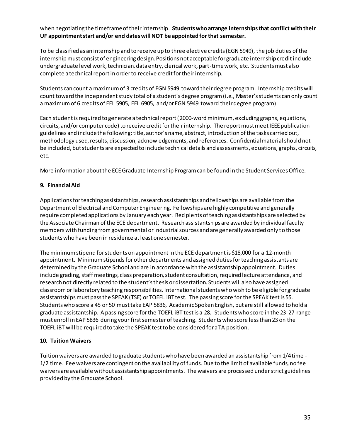#### when negotiating the timeframe of their internship. **Students who arrange internships that conflict with their UF appointment start and/or end dates will NOT be appointed for that semester.**

To be classified as an internship and to receive up to three elective credits (EGN 5949), the job duties of the internship must consist of engineering design. Positions not acceptable for graduate internship credit include undergraduate level work, technician, data entry, clerical work, part-time work, etc. Students must also complete a technical report in order to receive credit for their internship.

Students can count a maximum of 3 credits of EGN 5949 toward their degree program. Internship credits will count toward the independent study total of a student's degree program (i.e., Master's students can only count a maximum of 6 credits of EEL 5905, EEL 6905, and/or EGN 5949 toward their degree program).

Each student is required to generate a technical report (2000-wordminimum, excluding graphs, equations, circuits, and/or computer code) to receive credit for their internship. The report must meet IEEE publication guidelines and include the following: title, author's name, abstract, introduction of the tasks carried out, methodology used, results, discussion, acknowledgements, and references. Confidential material should not be included, but students are expected to include technical details and assessments, equations, graphs, circuits, etc.

More information about the ECE Graduate Internship Program can be found in the Student Services Office.

#### **9. Financial Aid**

Applications for teaching assistantships, research assistantships and fellowships are available from the Department of Electrical and Computer Engineering. Fellowships are highly competitive and generally require completed applications by January each year. Recipients of teaching assistantships are selected by the Associate Chairman of the ECE department. Research assistantships are awarded by individual faculty members with funding from governmental or industrial sources and are generally awarded only to those students who have been in residence at least one semester.

The minimum stipend for students on appointment in the ECE department is \$18,000 for a 12-month appointment. Minimum stipends for other departments and assigned duties for teaching assistants are determined by the Graduate School and are in accordance with the assistantship appointment. Duties include grading, staff meetings, class preparation, student consultation, required lecture attendance, and research not directly related to the student's thesis or dissertation. Students will also have assigned classroom or laboratory teaching responsibilities. International students who wish to be eligible for graduate assistantships must pass the SPEAK (TSE) or TOEFL iBT test. The passing score for the SPEAK test is 55. Students who score a 45 or 50 must take EAP 5836, Academic Spoken English, but are still allowed to hold a graduate assistantship. A passing score for the TOEFL iBT test is a 28. Students who score in the 23-27 range must enroll in EAP 5836 during your first semester of teaching. Students who score less than 23 on the TOEFL iBT will be required to take the SPEAK test to be considered for a TA position.

#### **10. Tuition Waivers**

Tuition waivers are awarded to graduate students who have been awarded an assistantship from 1/4 time - 1/2 time. Fee waivers are contingent on the availability of funds. Due to the limit of available funds, no fee waivers are available without assistantship appointments. The waivers are processed under strict guidelines provided by the Graduate School.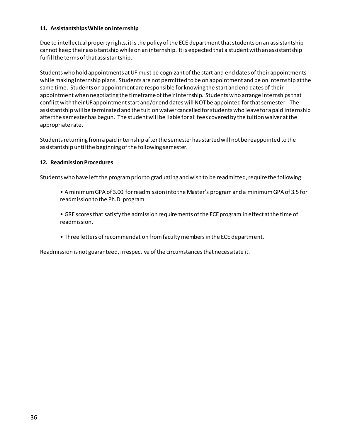#### **11. Assistantships While on Internship**

Due to intellectual property rights, it is the policy of the ECE department that students on an assistantship cannot keep their assistantship while on an internship. It is expected that a student with an assistantship fulfill the terms of that assistantship.

Students who hold appointments at UF must be cognizant of the start and end dates of their appointments while making internship plans. Students are not permitted to be on appointment and be on internship at the same time. Students on appointment are responsible for knowing the start and end dates of their appointment when negotiating the timeframe of their internship. Students who arrange internships that conflict with their UF appointment start and/or end dates will NOT be appointed for that semester. The assistantship will be terminated and the tuition waiver cancelled for students who leave for a paid internship after the semester has begun. The student will be liable for all fees covered by the tuition waiver at the appropriate rate.

Students returning from a paid internship after the semester has started will not be reappointed to the assistantship until the beginning of the following semester.

#### **12. Readmission Procedures**

Students who have left the program prior to graduating and wish to be readmitted, require the following:

• A minimum GPA of 3.00 for readmission into the Master's program and a minimum GPA of 3.5 for readmission to the Ph.D. program.

• GRE scores that satisfy the admission requirements of the ECE program in effect at the time of readmission.

• Three letters of recommendation from faculty members in the ECE department.

Readmission is not guaranteed, irrespective of the circumstances that necessitate it.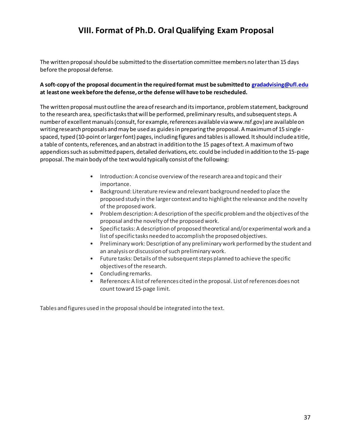# **VIII. Format of Ph.D. Oral Qualifying Exam Proposal**

The written proposal should be submitted to the dissertation committee members no later than 15 days before the proposal defense.

#### **A soft-copy of the proposal document in the required format must be submitted to [gradadvising@ufl.edu](mailto:gradadvising@ufl.edu) at least one week before the defense, or the defense will have to be rescheduled.**

The written proposal must outline the area of research and its importance, problem statement, background to the research area, specific tasks that will be performed, preliminary results, and subsequent steps. A number of excellent manuals (consult, for example, references available via www.nsf.gov) are available on writing research proposals and may be used as guides in preparing the proposal. A maximum of 15 single spaced, typed (10-point or larger font) pages, including figures and tables is allowed. It should include a title, a table of contents, references, and an abstract in addition to the 15 pages of text. A maximum of two appendices such as submitted papers, detailed derivations, etc. could be included in addition to the 15-page proposal. The main body of the text would typically consist of the following:

- Introduction: A concise overview of the research area and topic and their importance.
- Background: Literature review and relevant background needed to place the proposed study in the larger context and to highlight the relevance and the novelty of the proposed work.
- Problem description: A description of the specific problem and the objectives of the proposal and the novelty of the proposed work.
- Specific tasks: A description of proposed theoretical and/or experimental work and a list of specific tasks needed to accomplish the proposed objectives.
- Preliminary work: Description of any preliminary work performed by the student and an analysis or discussion of such preliminary work.
- Future tasks: Details of the subsequent steps planned to achieve the specific objectives of the research.
- Concluding remarks.
- References: A list of references cited in the proposal. List of references does not count toward 15-page limit.

Tables and figures used in the proposal should be integrated into the text.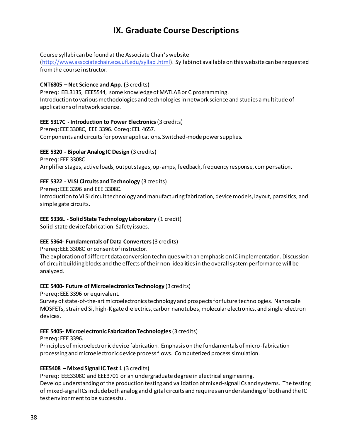# **IX. Graduate Course Descriptions**

#### Course syllabi can be found at the Associate Chair's website

(http://www.associatechair.ece.ufl.edu/syllabi.html). Syllabi not available on this website can be requested from the course instructor.

#### **CNT6805 – Net Science and App. (**3 credits)

Prereq: EEL3135, EEE5544, some knowledge of MATLAB or C programming. Introduction to various methodologies and technologies in network science and studies a multitude of applications of network science.

#### **EEE 5317C - Introduction to Power Electronics**(3 credits)

Prereq: EEE 3308C, EEE 3396. Coreq: EEL 4657. Components and circuits for power applications. Switched-mode power supplies.

#### **EEE 5320 - Bipolar Analog IC Design** (3 credits)

Prereq: EEE 3308C Amplifier stages, active loads, output stages, op-amps, feedback, frequency response, compensation.

#### **EEE 5322 - VLSI Circuits and Technology** (3 credits)

Prereq: EEE 3396 and EEE 3308C. Introduction to VLSI circuit technology and manufacturing fabrication, device models, layout, parasitics, and simple gate circuits.

#### **EEE 5336L - Solid State Technology Laboratory** (1 credit)

Solid-state device fabrication. Safety issues.

#### **EEE 5364- Fundamentals of Data Converters**(3 credits)

Prereq: EEE 3308C or consent of instructor.

The exploration of different data conversion techniques with an emphasis on IC implementation. Discussion of circuit building blocks and the effects of their non-idealities in the overall system performance will be analyzed.

#### **EEE 5400- Future of Microelectronics Technology** (3 credits)

Prereq: EEE 3396 or equivalent.

Survey of state-of-the-art microelectronics technology and prospects for future technologies. Nanoscale MOSFETs, strained Si, high-K gate dielectrics, carbon nanotubes, molecular electronics, and single-electron devices.

#### **EEE 5405- Microelectronic Fabrication Technologies** (3 credits)

Prereq: EEE 3396.

Principles of microelectronic device fabrication. Emphasis on the fundamentals of micro-fabrication processing and microelectronic device process flows. Computerized process simulation.

#### **EEE5408 – Mixed Signal IC Test 1** (3 credits)

Prereq: EEE3308C and EEE3701 or an undergraduate degree in electrical engineering. Develop understanding of the production testing and validation of mixed-signal ICs and systems. The testing of mixed-signal ICs include both analog and digital circuits and requires an understanding of both and the IC test environment to be successful.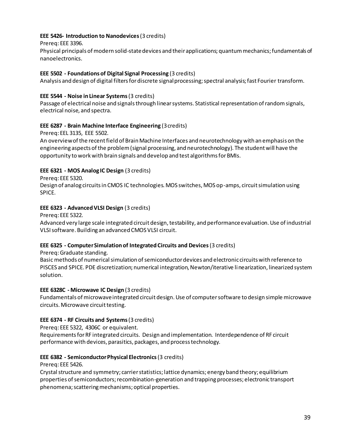#### **EEE 5426- Introduction to Nanodevices**(3 credits)

#### Prereq: EEE 3396.

Physical principals of modern solid-state devices and their applications; quantum mechanics; fundamentals of nanoelectronics.

#### **EEE 5502 - Foundations of Digital Signal Processing** (3 credits)

Analysis and design of digital filters for discrete signal processing; spectral analysis; fast Fourier transform.

#### **EEE 5544 - Noise in Linear Systems**(3 credits)

Passage of electrical noise and signals through linear systems. Statistical representation of random signals, electrical noise, and spectra.

#### **EEE 6287 - Brain Machine Interface Engineering** (3 credits)

Prereq: EEL 3135, EEE 5502.

An overview of the recent field of Brain Machine Interfaces and neurotechnology with an emphasis on the engineering aspects of the problem (signal processing, and neurotechnology). The student will have the opportunity to work with brain signals and develop and test algorithms for BMIs.

#### **EEE 6321 - MOS Analog IC Design** (3 credits)

Prereq: EEE 5320.

Design of analog circuits in CMOS IC technologies. MOS switches, MOS op-amps, circuit simulation using SPICE.

#### **EEE 6323 - Advanced VLSI Design** (3 credits)

Prereq: EEE 5322.

Advanced very large scale integrated circuit design, testability, and performance evaluation. Use of industrial VLSI software. Building an advanced CMOS VLSI circuit.

#### **EEE 6325 - Computer Simulation of Integrated Circuits and Devices**(3 credits)

Prereq: Graduate standing.

Basic methods of numerical simulation of semiconductor devices and electronic circuits with reference to PISCES and SPICE. PDE discretization; numerical integration, Newton/iterative linearization, linearized system solution.

#### **EEE 6328C - Microwave IC Design** (3 credits)

Fundamentals of microwave integrated circuit design. Use of computer software to design simple microwave circuits. Microwave circuit testing.

#### **EEE 6374 - RF Circuits and Systems**(3 credits)

Prereq: EEE 5322, 4306C or equivalent.

Requirements for RF integrated circuits. Design and implementation. Interdependence of RF circuit performance with devices, parasitics, packages, and process technology.

#### **EEE 6382 - Semiconductor Physical Electronics** (3 credits)

Prereq: EEE 5426.

Crystal structure and symmetry; carrier statistics; lattice dynamics; energy band theory; equilibrium properties of semiconductors; recombination-generation and trapping processes; electronic transport phenomena; scattering mechanisms; optical properties.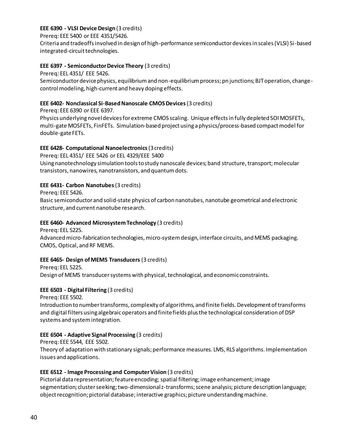#### **EEE 6390 - VLSI Device Design** (3 credits)

Prereq: EEE 5400 or EEE 4351/5426.

Criteria and tradeoffs involved in design of high-performance semiconductor devices in scales (VLSI) Si-based integrated-circuit technologies.

#### **EEE 6397 - Semiconductor Device Theory** (3 credits)

Prereq: EEL 4351/ EEE 5426.

Semiconductor device physics, equilibrium and non-equilibrium process; pn junctions; BJT operation, changecontrol modeling, high-current and heavy doping effects.

#### **EEE 6402- Nonclassical Si-Based Nanoscale CMOS Devices**(3 credits)

Prereq: EEE 6390 or EEE 6397.

Physics underlying novel devices for extreme CMOS scaling. Unique effects in fully depleted SOI MOSFETs, multi-gate MOSFETs, FinFETs. Simulation-based project using a physics/process-based compact model for double-gate FETs.

#### **EEE 6428- Computational Nanoelectronics**(3 credits)

Prereq: EEL 4351/ EEE 5426 or EEL 4329/EEE 5400 Using nanotechnology simulation tools to study nanoscale devices; band structure, transport; molecular transistors, nanowires, nanotransistors, and quantum dots.

#### **EEE 6431- Carbon Nanotubes**(3 credits)

Prereq: EEE 5426.

Basic semiconductor and solid-state physics of carbon nanotubes, nanotube geometrical and electronic structure, and current nanotube research.

#### **EEE 6460- Advanced Microsystem Technology** (3 credits)

Prereq: EEL 5225. Advanced micro-fabrication technologies, micro-system design, interface circuits, and MEMS packaging. CMOS, Optical, and RF MEMS.

#### **EEE 6465- Design of MEMS Transducers** (3 credits)

Prereq: EEL 5225. Design of MEMS transducer systems with physical, technological, and economic constraints.

#### **EEE 6503 - Digital Filtering** (3 credits)

Prereq: EEE 5502.

Introduction to number transforms, complexity of algorithms, and finite fields. Development of transforms and digital filters using algebraic operators and finite fields plus the technological consideration of DSP systems and system integration.

#### **EEE 6504 - Adaptive Signal Processing** (3 credits)

Prereq: EEE 5544, EEE 5502.

Theory of adaptation with stationary signals; performance measures. LMS, RLS algorithms. Implementation issues and applications.

#### **EEE 6512 - Image Processing and Computer Vision** (3 credits)

Pictorial data representation; feature encoding;spatial filtering; image enhancement; image segmentation; cluster seeking; two-dimensional z-transforms; scene analysis; picture description language; object recognition; pictorial database; interactive graphics; picture understanding machine.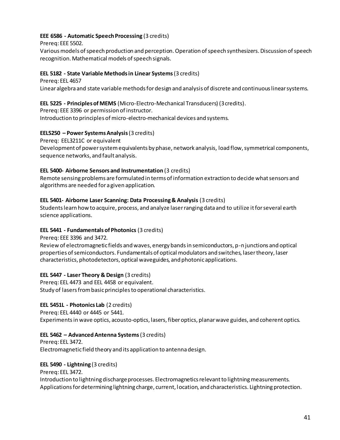#### **EEE 6586 - Automatic Speech Processing** (3 credits)

Prereq: EEE 5502.

Various models of speech production and perception. Operation of speech synthesizers. Discussion of speech recognition. Mathematical models of speech signals.

#### **EEL 5182 - State Variable Methods in Linear Systems**(3 credits)

Prereq: EEL 4657 Linear algebra and state variable methods for design and analysis of discrete and continuous linear systems.

#### **EEL 5225 - Principles of MEMS** (Micro-Electro-Mechanical Transducers) (3 credits).

Prereq: EEE 3396 or permission of instructor. Introduction to principles of micro-electro-mechanical devices and systems.

#### **EEL5250 – Power Systems Analysis**(3 credits)

Prereq: EEL3211C or equivalent

Development of power system equivalents by phase, network analysis, load flow, symmetrical components, sequence networks, and fault analysis.

#### **EEL 5400- Airborne Sensors and Instrumentation** (3 credits)

Remote sensing problems are formulated in terms of information extraction to decide what sensors and algorithms are needed for a given application.

#### **EEL 5401- Airborne Laser Scanning: Data Processing & Analysis** (3 credits)

Students learn how to acquire, process, and analyze laser ranging data and to utilize it for several earth science applications.

#### **EEL 5441 - Fundamentals of Photonics** (3 credits)

Prereq: EEE 3396 and 3472.

Review of electromagnetic fields and waves, energy bands in semiconductors, p-n junctions and optical properties of semiconductors. Fundamentals of optical modulators and switches, laser theory, laser characteristics, photodetectors, optical waveguides, and photonic applications.

#### **EEL 5447 - Laser Theory & Design** (3 credits)

Prereq: EEL 4473 and EEL 4458 or equivalent. Study of lasers from basic principles to operational characteristics.

#### **EEL 5451L - Photonics Lab** (2 credits)

Prereq: EEL 4440 or 4445 or 5441.

Experiments in wave optics, acousto-optics, lasers, fiber optics, planar wave guides, and coherent optics.

#### **EEL 5462 – Advanced Antenna Systems**(3 credits)

Prereq: EEL 3472. Electromagnetic field theory and its application to antenna design.

#### **EEL 5490 - Lightning** (3 credits)

Prereq: EEL 3472.

Introduction to lightning discharge processes. Electromagnetics relevant to lightning measurements. Applications for determining lightning charge, current, location, and characteristics. Lightning protection.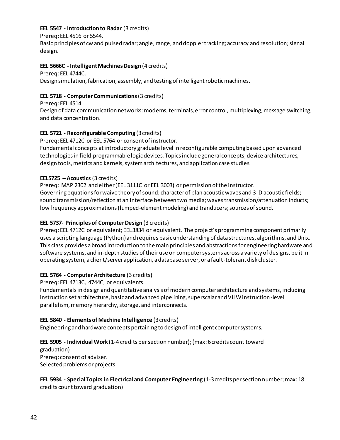#### **EEL 5547 - Introduction to Radar** (3 credits)

#### Prereq: EEL 4516 or 5544.

Basic principles of cw and pulsed radar; angle, range, and doppler tracking; accuracy and resolution; signal design.

#### **EEL 5666C - Intelligent Machines Design** (4 credits)

#### Prereq: EEL 4744C.

Design simulation, fabrication, assembly, and testing of intelligent robotic machines.

#### **EEL 5718 - Computer Communications**(3 credits)

Prereq: EEL 4514.

Design of data communication networks: modems, terminals, error control, multiplexing, message switching, and data concentration.

#### **EEL 5721 - Reconfigurable Computing** (3 credits)

Prereq: EEL 4712C or EEL 5764 or consent of instructor.

Fundamental concepts at introductory graduate level in reconfigurable computing based upon advanced technologies in field-programmable logic devices. Topics include general concepts, device architectures, design tools, metrics and kernels, system architectures, and application case studies.

#### **EEL5725 – Acoustics** (3 credits)

Prereq: MAP 2302 and either (EEL 3111C or EEL 3003) or permission of the instructor. Governing equations for waive theory of sound; character of plan acoustic waves and 3-D acoustic fields; sound transmission/reflection at an interface between two media; waves transmission/attenuation inducts; low frequency approximations (lumped-element modeling) and tranducers; sources of sound.

#### **EEL 5737- Principles of Computer Design** (3 credits)

Prereq: EEL 4712C or equivalent; EEL 3834 or equivalent. The project's programming component primarily uses a scripting language (Python) and requires basic understanding of data structures, algorithms, and Unix. This class provides a broad introduction to the main principles and abstractions for engineering hardware and software systems, and in-depth studies of their use on computer systems across a variety of designs, be it in operating system, a client/server application, a database server, or a fault-tolerant disk cluster.

#### **EEL 5764 - Computer Architecture** (3 credits)

Prereq: EEL 4713C, 4744C, or equivalents.

Fundamentals in design and quantitative analysis of modern computer architecture and systems, including instruction set architecture, basic and advanced pipelining, superscalar and VLIW instruction-level parallelism, memory hierarchy, storage, and interconnects.

#### **EEL 5840 - Elements of Machine Intelligence** (3 credits)

Engineering and hardware concepts pertaining to design of intelligent computer systems.

#### **EEL 5905 - Individual Work** (1-4 credits per section number); (max: 6 credits count toward

graduation) Prereq: consent of adviser. Selected problems or projects.

**EEL 5934 - Special Topics in Electrical and Computer Engineering** (1-3 credits per section number; max: 18 credits count toward graduation)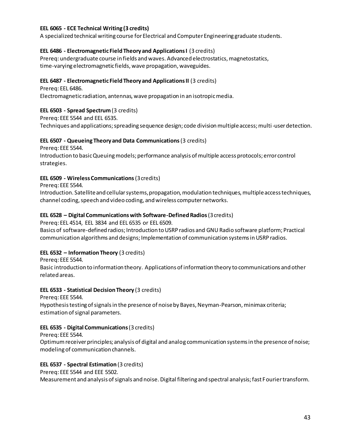#### **EEL 6065 - ECE Technical Writing (3 credits)**

A specialized technical writing course for Electrical and Computer Engineering graduate students.

#### **EEL 6486 - Electromagnetic Field Theory and Applications I** (3 credits)

Prereq: undergraduate course in fields and waves. Advanced electrostatics, magnetostatics, time-varying electromagnetic fields, wave propagation, waveguides.

#### **EEL 6487 - Electromagnetic Field Theory and Applications II** (3 credits)

Prereq: EEL 6486. Electromagnetic radiation, antennas, wave propagation in an isotropic media.

#### **EEL 6503 - Spread Spectrum**(3 credits)

Prereq: EEE 5544 and EEL 6535.

Techniques and applications; spreading sequence design; code division multiple access; multi-user detection.

#### **EEL 6507 - Queueing Theory and Data Communications**(3 credits)

Prereq: EEE 5544.

Introduction to basic Queuing models; performance analysis of multiple access protocols; error control strategies.

#### **EEL 6509 - Wireless Communications**(3 credits)

Prereq: EEE 5544.

Introduction. Satellite and cellular systems, propagation, modulation techniques, multiple access techniques, channel coding, speech and video coding, and wireless computer networks.

#### **EEL 6528 – Digital Communications with Software-Defined Radios**(3 credits)

Prereq: EEL 4514, EEL 3834 and EEL 6535 or EEL 6509.

Basics of software-defined radios; Introduction to USRP radios and GNU Radio software platform; Practical communication algorithms and designs; Implementation of communication systems in USRP radios.

#### **EEL 6532 – Information Theory** (3 credits)

Prereq: EEE 5544.

Basic introduction to information theory. Applications of information theory to communications and other related areas.

#### **EEL 6533 - Statistical Decision Theory** (3 credits)

Prereq: EEE 5544.

Hypothesis testing of signals in the presence of noise by Bayes, Neyman-Pearson, minimax criteria; estimation of signal parameters.

#### **EEL 6535 - Digital Communications**(3 credits)

Prereq: EEE 5544.

Optimum receiver principles; analysis of digital and analog communication systems in the presence of noise; modeling of communication channels.

#### **EEL 6537 - Spectral Estimation** (3 credits)

Prereq: EEE 5544 and EEE 5502.

Measurement and analysis of signals and noise. Digital filtering and spectral analysis; fast Fourier transform.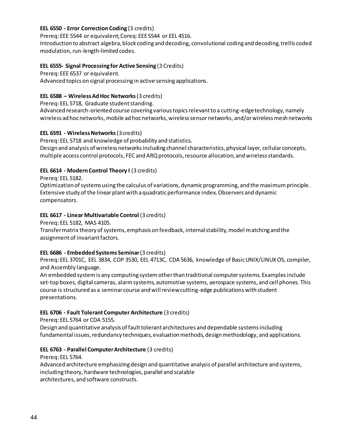#### **EEL 6550 - Error Correction Coding** (3 credits)

Prereq: EEE 5544 or equivalent; Coreq: EEE5544 or EEL 4516.

Introduction to abstract algebra, block coding and decoding, convolutional coding and decoding, trellis coded modulation, run-length-limited codes.

#### **EEL 6555- Signal Processing for Active Sensing** (3 Credits)

Prereq: EEE 6537 or equivalent.

Advanced topics on signal processing in active sensing applications.

#### **EEL 6588 – Wireless Ad Hoc Networks** (3 credits)

#### Prereq: EEL 5718, Graduate student standing.

Advanced research-oriented course covering various topics relevant to a cutting-edge technology, namely wireless ad hoc networks, mobile ad hoc networks, wireless sensor networks, and/or wireless mesh networks

#### **EEL 6591 - Wireless Networks**(3 credits)

Prereq: EEL 5718 and knowledge of probability and statistics.

Design and analysis of wireless networks including channel characteristics, physical layer, cellular concepts, multiple access control protocols, FEC and ARQ protocols, resource allocation, and wireless standards.

#### **EEL 6614 - Modern Control Theory I** (3 credits)

Prereq: EEL 5182.

Optimization of systems using the calculus of variations, dynamic programming, and the maximum principle. Extensive study of the linear plant with a quadratic performance index. Observers and dynamic compensators.

#### **EEL 6617 - Linear Multivariable Control** (3 credits)

Prereq: EEL 5182, MAS 4105.

Transfer matrix theory of systems, emphasis on feedback, internal stability, model matching and the assignment of invariant factors.

#### **EEL 6686 - Embedded Systems Seminar** (3 credits)

Prereq: EEL 3701C, EEL 3834, COP 3530, EEL 4713C, CDA 5636, knowledge of Basic UNIX/LINUX OS, compiler, and Assembly language.

An embedded system is any computing system other than traditional computer systems. Examples include set-top boxes, digital cameras, alarm systems, automotive systems, aerospace systems, and cell phones. This course is structured as a seminar course and will review cutting-edge publications with student presentations.

#### **EEL 6706 - Fault Tolerant Computer Architecture** (3 credits)

Prereq: EEL 5764 or CDA 5155.

Design and quantitative analysis of fault tolerant architectures and dependable systems including fundamental issues, redundancy techniques, evaluation methods, design methodology, and applications.

#### **EEL 6763 - Parallel Computer Architecture** (3 credits)

Prereq: EEL 5764.

Advanced architecture emphasizing design and quantitative analysis of parallel architecture and systems, including theory, hardware technologies, parallel and scalable architectures, and software constructs.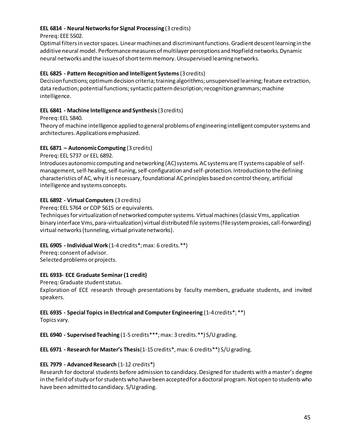#### **EEL 6814 - Neural Networks for Signal Processing** (3 credits)

Prereq: EEE 5502.

Optimal filters in vector spaces. Linear machines and discriminantfunctions. Gradient descent learning in the additive neural model. Performance measures of multilayer perceptions and Hopfield networks. Dynamic neural networks and the issues of short term memory. Unsupervised learning networks.

#### **EEL 6825 - Pattern Recognition and Intelligent Systems**(3 credits)

Decision functions; optimum decision criteria; training algorithms; unsupervised learning; feature extraction, data reduction; potential functions; syntactic pattern description; recognition grammars; machine intelligence.

#### **EEL 6841 - Machine Intelligence and Synthesis**(3 credits)

Prereq: EEL 5840.

Theory of machine intelligence applied to general problems of engineering intelligent computer systems and architectures. Applications emphasized.

#### **EEL 6871 – Autonomic Computing** (3 credits)

Prereq: EEL 5737 or EEL 6892.

Introduces autonomic computing and networking (AC) systems. AC systems are IT systems capable of selfmanagement, self-healing, self-tuning, self-configuration and self-protection. Introduction to the defining characteristics of AC, why it is necessary, foundational AC principles based on control theory, artificial intelligence and systems concepts.

#### **EEL 6892 - Virtual Computers** (3 credits)

Prereq: EEL 5764 or COP 5615 or equivalents.

Techniques for virtualization of networked computer systems. Virtual machines (classic Vms, application binary interface Vms, para-virtualization) virtual distributed file systems (file system proxies, call-forwarding) virtual networks (tunneling, virtual private networks).

#### **EEL 6905 - Individual Work** (1-4 credits\*; max: 6 credits.\*\*)

Prereq: consent of advisor. Selected problems or projects.

#### **EEL 6933- ECE Graduate Seminar (1 credit)**

Prereq: Graduate student status.

Exploration of ECE research through presentations by faculty members, graduate students, and invited speakers.

# **EEL 6935 - Special Topics in Electrical and Computer Engineering** (1-4 credits\*; \*\*)

Topics vary.

**EEL 6940 - Supervised Teaching** (1-5 credits\*\*\*; max: 3 credits.\*\*) S/U grading.

#### **EEL 6971 - Research for Master's Thesis**(1-15 credits\*, max: 6 credits\*\*) S/U grading.

#### **EEL 7979 - Advanced Research** (1-12 credits\*)

Research for doctoral students before admission to candidacy. Designed for students with a master's degree in the field of study or for students who have been accepted for a doctoral program. Not open to students who have been admitted to candidacy. S/U grading.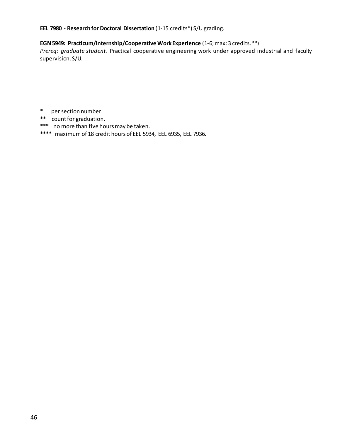#### **EEL 7980 - Research for Doctoral Dissertation** (1-15 credits\*) S/U grading.

#### **EGN 5949: Practicum/Internship/Cooperative Work Experience** (1-6; max: 3 credits.\*\*)

*Prereq: graduate student.* Practical cooperative engineering work under approved industrial and faculty supervision. S/U.

- \* per section number.
- \*\* count for graduation.
- \*\*\* no more than five hours may be taken.
- \*\*\*\* maximum of 18 credit hours of EEL 5934, EEL 6935, EEL 7936.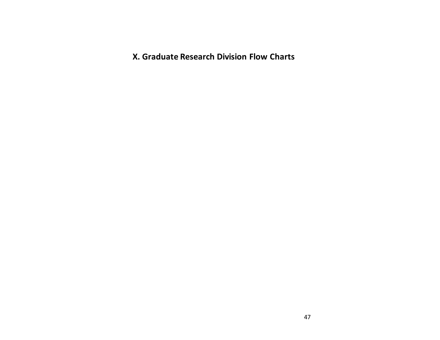**X. Graduate Research Division Flow Charts**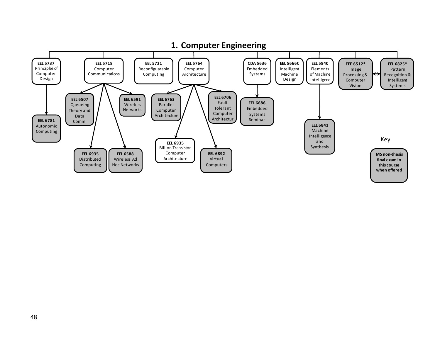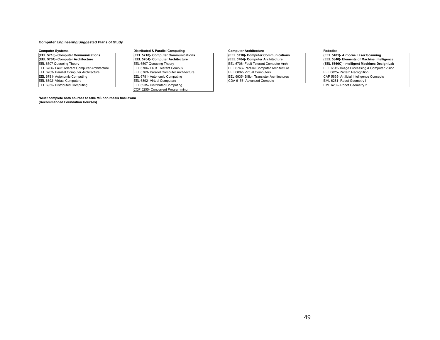#### **Computer Engineering Suggested Plans of Study**

Computer Systems **Proportional Bustive Computied** & Parallel Computing<br> **Computer Architecture** Communications **Proportional Computer Communications Computer Architecture Proportional Computer** (CEEL 5718)- Computer Co The Computer Communications (EEL 5718)-Computer Communications (EEL 5718)-Computer Communications (EEL 5718)-Computer Communications (EEL 5718)-Computer Communications (EEL 5718)-Computer Architecture (EEL 5764)-Computer A EEL 6763- Parallel Computer Architecture **EEL 6763- Parallel Computer Architecture** EEL 6892- Virtual Computers EEL 6892- Virtual Computers EEL 6985- Billion Transister Architectures EEL 6781- Autonomic Computing EEL 6935-EEL 6781- Autonomic Computing Computing EEL 6781- Autonomic Computing EEL 6935- Billion Transister Architectures CAP 5635- Artificial Intelligence Concepts EEL 6892- Virtual Computers EEL 6892- Virtual Computers EEL 6892- EEL 6892- Virtual Computers Teel 6892- Virtual Computers COA 6156- Advanced Computer Architecture Computer COA 6156- Advanced Computer Architecture Computer COA 6156- Advanced Computer Architecture Computer Architecture EM

#### **\*Must complete both courses to take MS non-thesis final exam (Recommended Foundation Courses)**

EEL 6935- Distributed Computing COP 5255- Concurrent Programming

EEL 6764)- Computer Architecture (EEL 6764)- Computer Architecture (EEL 5764)- Computer Architecture (EEL 6764)- Computer Architecture (EEL 6764)- Computer Architecture (EEL 6764)- Computer Architecture (EEL 6764)- Compute EEL 6507 Queueing Theory **CEL 6507 Queueing Theory** EEL 6507 Queueing Theory **EEL 6706- Fault Tolerant Computer Architecture CEL 6502- Fault Tolerant Computer Architecture CEL 6502-** EEL 6512- Image Processing & Comput EEL 6706- Fault Tolerant Computer Architecture EEL 6706- Fault Tolerant Computer Architecture EEL 6703- Parallel Computer Architecture EEL 6703- Parallel Computer Architecture EEL 6763- Parallel Computer Architecture EEL 6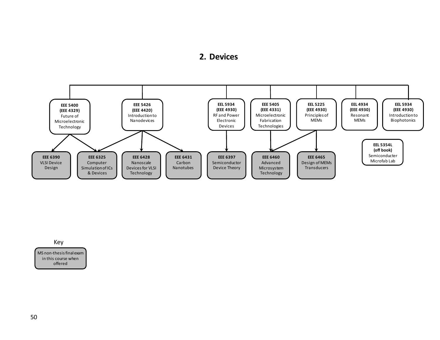#### **2. Devices**



Key

MS non-thesis final exam in this course when offered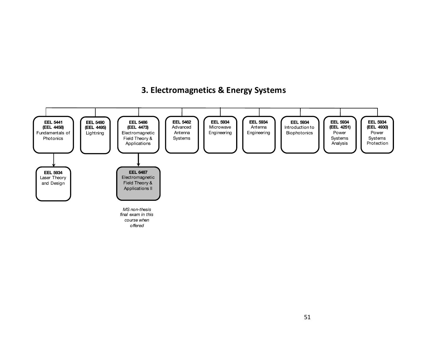# **3. Electromagnetics & Energy Systems**

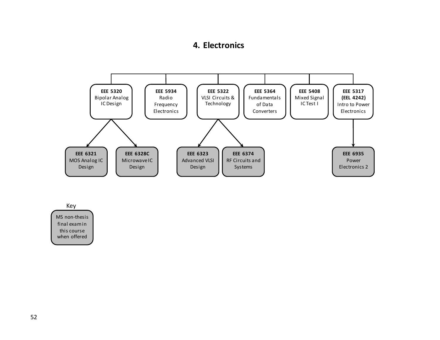# **4. Electronics**